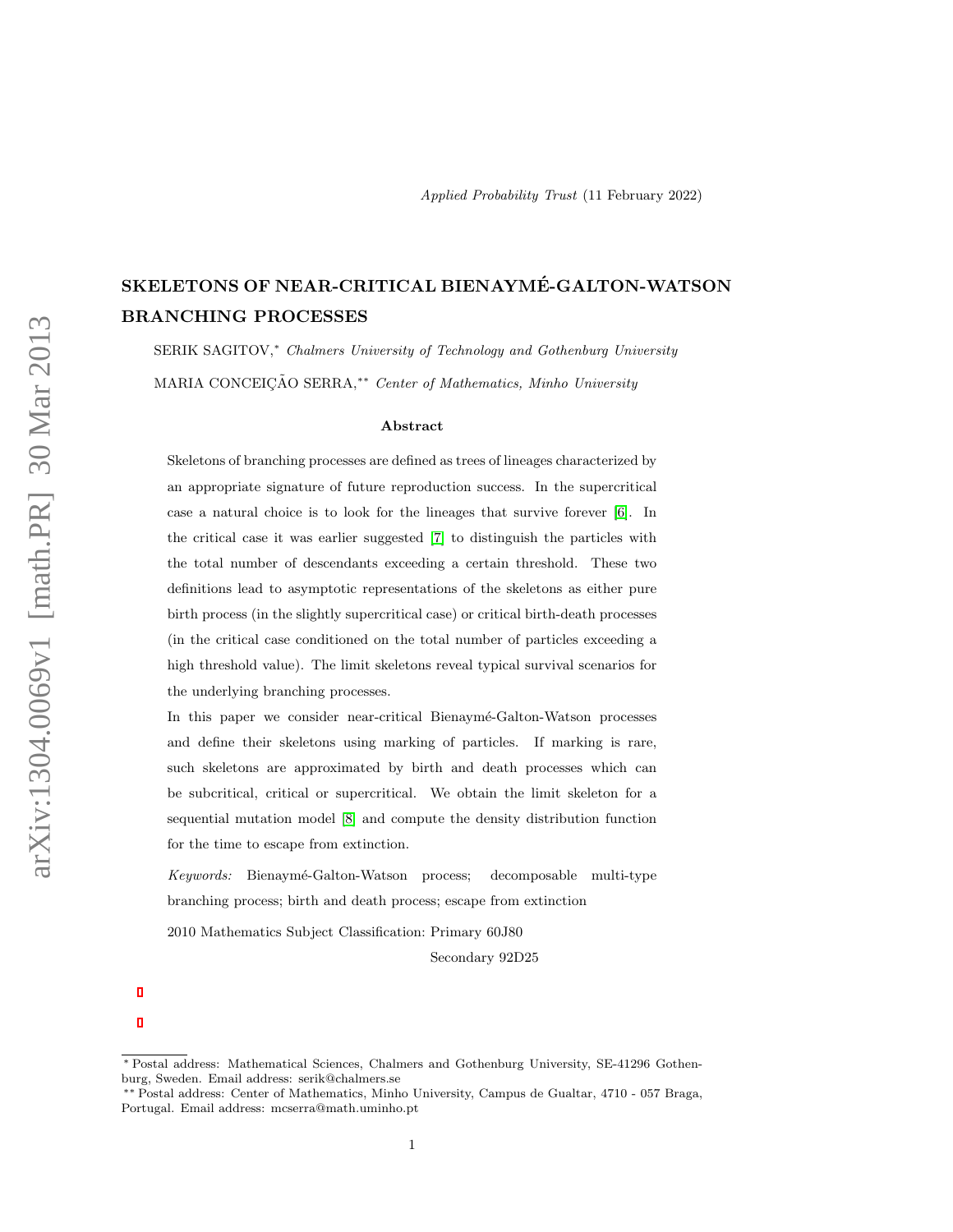# SKELETONS OF NEAR-CRITICAL BIENAYME-GALTON-WATSON ´ BRANCHING PROCESSES

SERIK SAGITOV,\* Chalmers University of Technology and Gothenburg University MARIA CONCEICÃO SERRA,<sup>\*\*</sup> Center of Mathematics, Minho University

#### Abstract

Skeletons of branching processes are defined as trees of lineages characterized by an appropriate signature of future reproduction success. In the supercritical case a natural choice is to look for the lineages that survive forever [\[6\]](#page-20-0). In the critical case it was earlier suggested [\[7\]](#page-20-1) to distinguish the particles with the total number of descendants exceeding a certain threshold. These two definitions lead to asymptotic representations of the skeletons as either pure birth process (in the slightly supercritical case) or critical birth-death processes (in the critical case conditioned on the total number of particles exceeding a high threshold value). The limit skeletons reveal typical survival scenarios for the underlying branching processes.

In this paper we consider near-critical Bienaymé-Galton-Watson processes and define their skeletons using marking of particles. If marking is rare, such skeletons are approximated by birth and death processes which can be subcritical, critical or supercritical. We obtain the limit skeleton for a sequential mutation model [\[8\]](#page-20-2) and compute the density distribution function for the time to escape from extinction.

Keywords: Bienaym´e-Galton-Watson process; decomposable multi-type branching process; birth and death process; escape from extinction

2010 Mathematics Subject Classification: Primary 60J80

Secondary 92D25

<sup>∗</sup> Postal address: Mathematical Sciences, Chalmers and Gothenburg University, SE-41296 Gothenburg, Sweden. Email address: serik@chalmers.se

<sup>∗∗</sup> Postal address: Center of Mathematics, Minho University, Campus de Gualtar, 4710 - 057 Braga, Portugal. Email address: mcserra@math.uminho.pt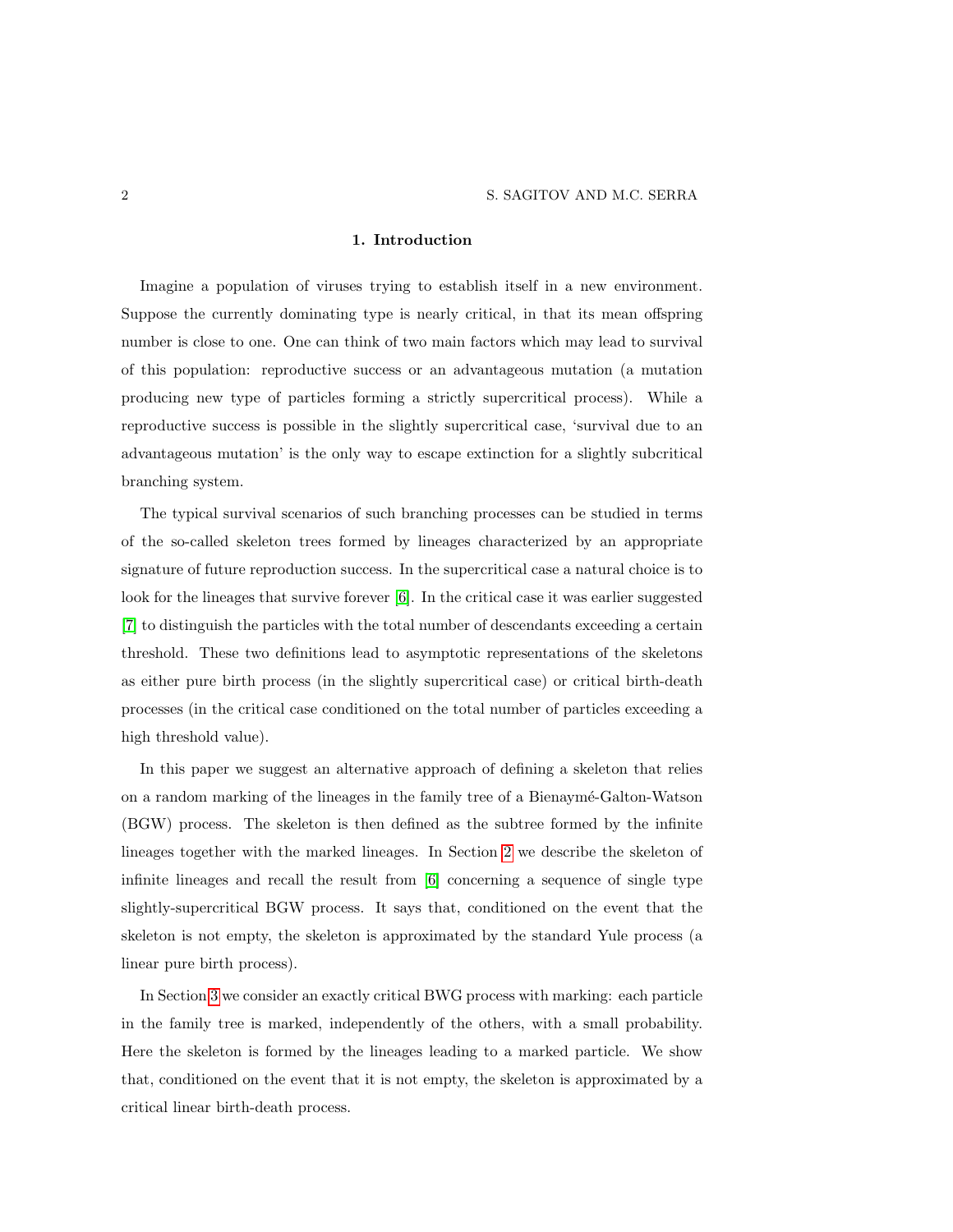### 1. Introduction

Imagine a population of viruses trying to establish itself in a new environment. Suppose the currently dominating type is nearly critical, in that its mean offspring number is close to one. One can think of two main factors which may lead to survival of this population: reproductive success or an advantageous mutation (a mutation producing new type of particles forming a strictly supercritical process). While a reproductive success is possible in the slightly supercritical case, 'survival due to an advantageous mutation' is the only way to escape extinction for a slightly subcritical branching system.

The typical survival scenarios of such branching processes can be studied in terms of the so-called skeleton trees formed by lineages characterized by an appropriate signature of future reproduction success. In the supercritical case a natural choice is to look for the lineages that survive forever [\[6\]](#page-20-0). In the critical case it was earlier suggested [\[7\]](#page-20-1) to distinguish the particles with the total number of descendants exceeding a certain threshold. These two definitions lead to asymptotic representations of the skeletons as either pure birth process (in the slightly supercritical case) or critical birth-death processes (in the critical case conditioned on the total number of particles exceeding a high threshold value).

In this paper we suggest an alternative approach of defining a skeleton that relies on a random marking of the lineages in the family tree of a Bienaymé-Galton-Watson (BGW) process. The skeleton is then defined as the subtree formed by the infinite lineages together with the marked lineages. In Section [2](#page-2-0) we describe the skeleton of infinite lineages and recall the result from [\[6\]](#page-20-0) concerning a sequence of single type slightly-supercritical BGW process. It says that, conditioned on the event that the skeleton is not empty, the skeleton is approximated by the standard Yule process (a linear pure birth process).

In Section [3](#page-4-0) we consider an exactly critical BWG process with marking: each particle in the family tree is marked, independently of the others, with a small probability. Here the skeleton is formed by the lineages leading to a marked particle. We show that, conditioned on the event that it is not empty, the skeleton is approximated by a critical linear birth-death process.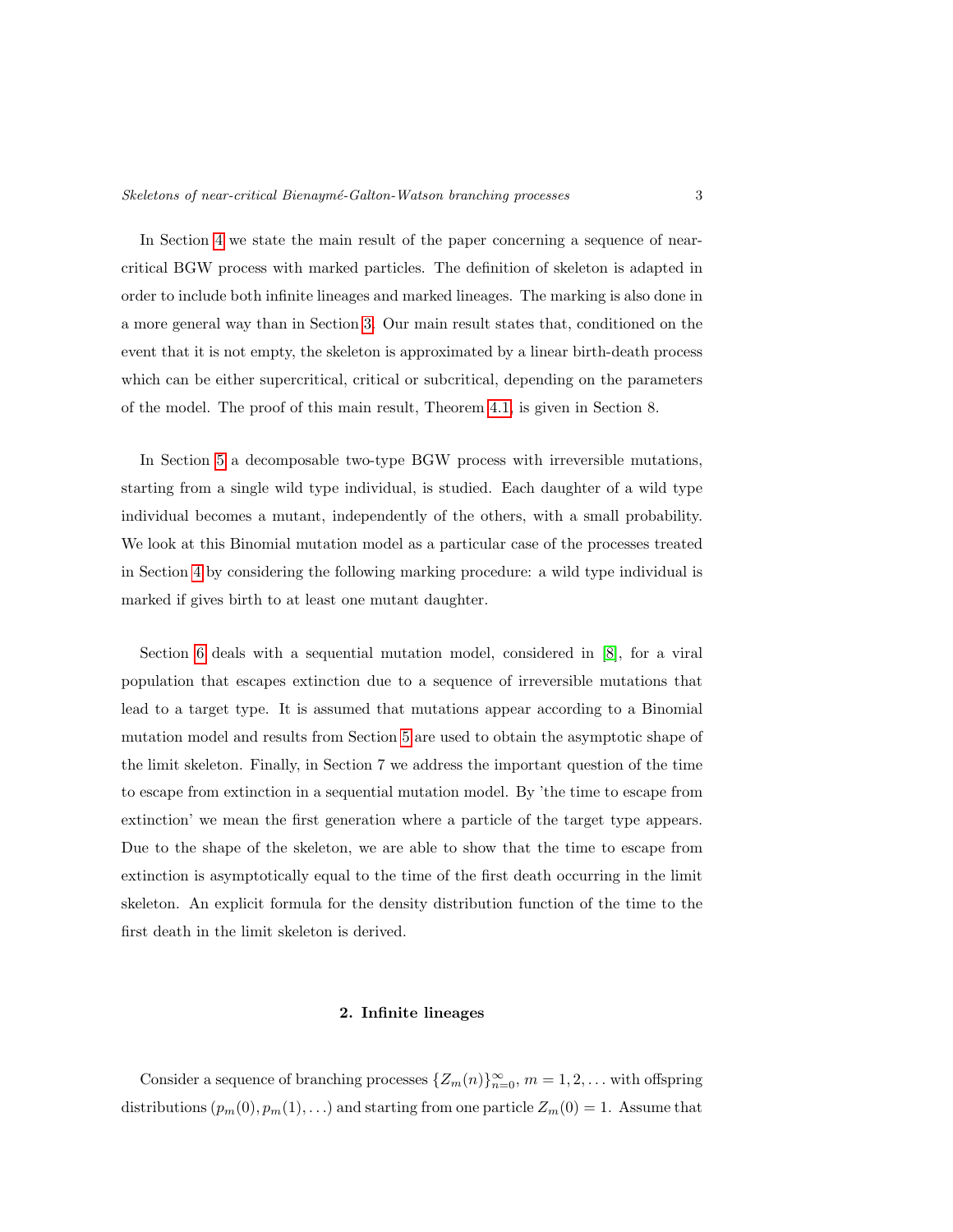In Section [4](#page-6-0) we state the main result of the paper concerning a sequence of nearcritical BGW process with marked particles. The definition of skeleton is adapted in order to include both infinite lineages and marked lineages. The marking is also done in a more general way than in Section [3.](#page-4-0) Our main result states that, conditioned on the event that it is not empty, the skeleton is approximated by a linear birth-death process which can be either supercritical, critical or subcritical, depending on the parameters of the model. The proof of this main result, Theorem [4.1,](#page-8-0) is given in Section 8.

In Section [5](#page-9-0) a decomposable two-type BGW process with irreversible mutations, starting from a single wild type individual, is studied. Each daughter of a wild type individual becomes a mutant, independently of the others, with a small probability. We look at this Binomial mutation model as a particular case of the processes treated in Section [4](#page-6-0) by considering the following marking procedure: a wild type individual is marked if gives birth to at least one mutant daughter.

Section [6](#page-12-0) deals with a sequential mutation model, considered in [\[8\]](#page-20-2), for a viral population that escapes extinction due to a sequence of irreversible mutations that lead to a target type. It is assumed that mutations appear according to a Binomial mutation model and results from Section [5](#page-9-0) are used to obtain the asymptotic shape of the limit skeleton. Finally, in Section 7 we address the important question of the time to escape from extinction in a sequential mutation model. By 'the time to escape from extinction' we mean the first generation where a particle of the target type appears. Due to the shape of the skeleton, we are able to show that the time to escape from extinction is asymptotically equal to the time of the first death occurring in the limit skeleton. An explicit formula for the density distribution function of the time to the first death in the limit skeleton is derived.

#### 2. Infinite lineages

<span id="page-2-0"></span>Consider a sequence of branching processes  $\{Z_m(n)\}_{n=0}^{\infty}$ ,  $m=1,2,\ldots$  with offspring distributions  $(p_m(0), p_m(1), ...)$  and starting from one particle  $Z_m(0) = 1$ . Assume that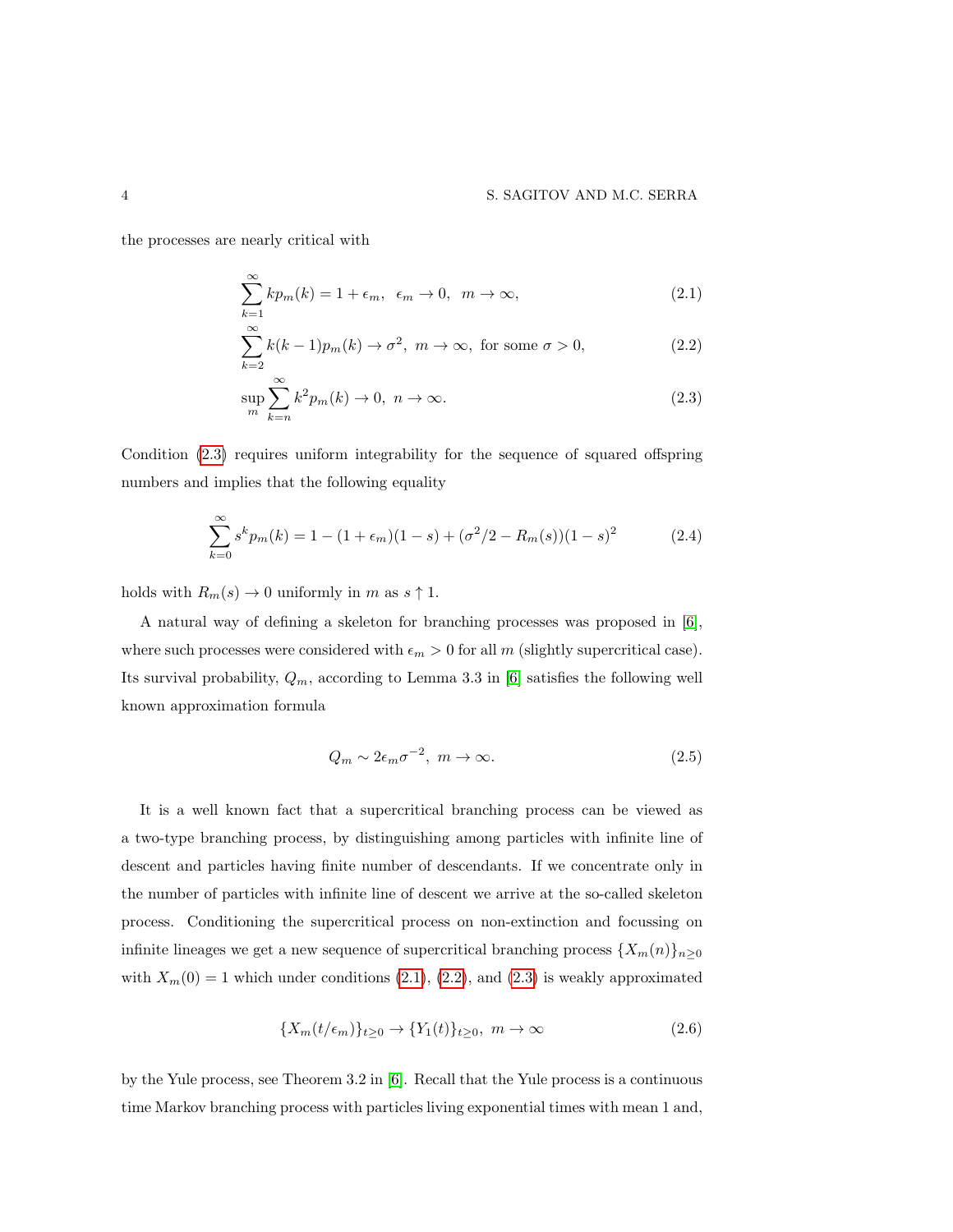the processes are nearly critical with

<span id="page-3-1"></span>
$$
\sum_{k=1}^{\infty} k p_m(k) = 1 + \epsilon_m, \ \epsilon_m \to 0, \ m \to \infty,
$$
\n(2.1)

<span id="page-3-2"></span>
$$
\sum_{k=2}^{\infty} k(k-1)p_m(k) \to \sigma^2, \ m \to \infty, \text{ for some } \sigma > 0,
$$
 (2.2)

<span id="page-3-0"></span>
$$
\sup_{m} \sum_{k=n}^{\infty} k^2 p_m(k) \to 0, \ n \to \infty.
$$
\n(2.3)

Condition [\(2.3\)](#page-3-0) requires uniform integrability for the sequence of squared offspring numbers and implies that the following equality

<span id="page-3-4"></span>
$$
\sum_{k=0}^{\infty} s^k p_m(k) = 1 - (1 + \epsilon_m)(1 - s) + (\sigma^2/2 - R_m(s))(1 - s)^2 \tag{2.4}
$$

holds with  $R_m(s) \to 0$  uniformly in m as  $s \uparrow 1$ .

A natural way of defining a skeleton for branching processes was proposed in [\[6\]](#page-20-0), where such processes were considered with  $\epsilon_m > 0$  for all m (slightly supercritical case). Its survival probability,  $Q_m$ , according to Lemma 3.3 in [\[6\]](#page-20-0) satisfies the following well known approximation formula

<span id="page-3-5"></span>
$$
Q_m \sim 2\epsilon_m \sigma^{-2}, \ m \to \infty. \tag{2.5}
$$

It is a well known fact that a supercritical branching process can be viewed as a two-type branching process, by distinguishing among particles with infinite line of descent and particles having finite number of descendants. If we concentrate only in the number of particles with infinite line of descent we arrive at the so-called skeleton process. Conditioning the supercritical process on non-extinction and focussing on infinite lineages we get a new sequence of supercritical branching process  $\{X_m(n)\}_{n\geq 0}$ with  $X_m(0) = 1$  which under conditions [\(2.1\)](#page-3-1), [\(2.2\)](#page-3-2), and [\(2.3\)](#page-3-0) is weakly approximated

<span id="page-3-3"></span>
$$
\{X_m(t/\epsilon_m)\}_{t\geq 0} \to \{Y_1(t)\}_{t\geq 0}, \ m \to \infty \tag{2.6}
$$

by the Yule process, see Theorem 3.2 in [\[6\]](#page-20-0). Recall that the Yule process is a continuous time Markov branching process with particles living exponential times with mean 1 and,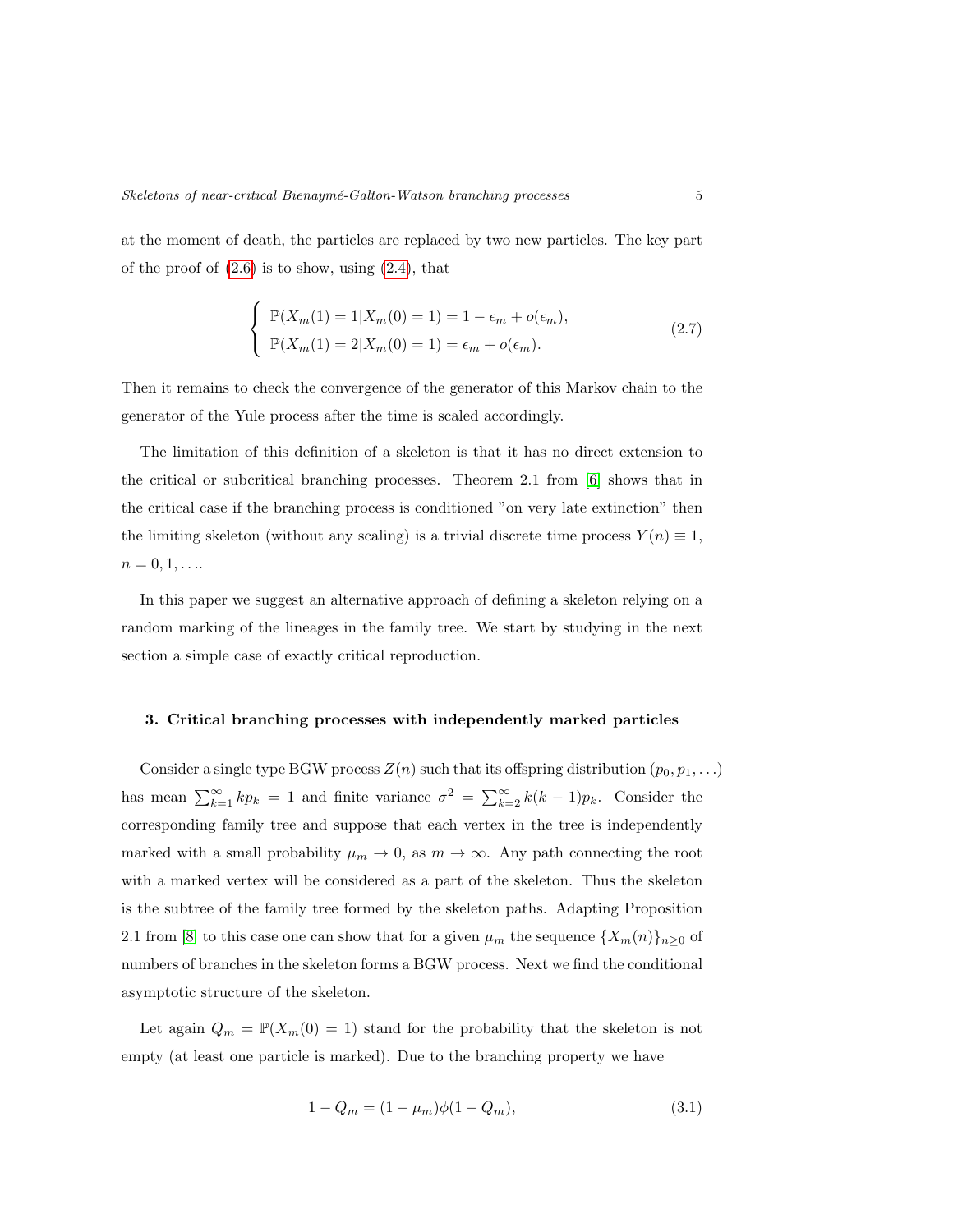at the moment of death, the particles are replaced by two new particles. The key part of the proof of  $(2.6)$  is to show, using  $(2.4)$ , that

<span id="page-4-2"></span>
$$
\begin{cases} \mathbb{P}(X_m(1) = 1 | X_m(0) = 1) = 1 - \epsilon_m + o(\epsilon_m), \\ \mathbb{P}(X_m(1) = 2 | X_m(0) = 1) = \epsilon_m + o(\epsilon_m). \end{cases}
$$
 (2.7)

Then it remains to check the convergence of the generator of this Markov chain to the generator of the Yule process after the time is scaled accordingly.

The limitation of this definition of a skeleton is that it has no direct extension to the critical or subcritical branching processes. Theorem 2.1 from [\[6\]](#page-20-0) shows that in the critical case if the branching process is conditioned "on very late extinction" then the limiting skeleton (without any scaling) is a trivial discrete time process  $Y(n) \equiv 1$ ,  $n = 0, 1, \ldots$ 

In this paper we suggest an alternative approach of defining a skeleton relying on a random marking of the lineages in the family tree. We start by studying in the next section a simple case of exactly critical reproduction.

#### <span id="page-4-0"></span>3. Critical branching processes with independently marked particles

Consider a single type BGW process  $Z(n)$  such that its offspring distribution  $(p_0, p_1, \ldots)$ has mean  $\sum_{k=1}^{\infty} k p_k = 1$  and finite variance  $\sigma^2 = \sum_{k=2}^{\infty} k(k-1)p_k$ . Consider the corresponding family tree and suppose that each vertex in the tree is independently marked with a small probability  $\mu_m \to 0$ , as  $m \to \infty$ . Any path connecting the root with a marked vertex will be considered as a part of the skeleton. Thus the skeleton is the subtree of the family tree formed by the skeleton paths. Adapting Proposition 2.1 from [\[8\]](#page-20-2) to this case one can show that for a given  $\mu_m$  the sequence  $\{X_m(n)\}_{n\geq 0}$  of numbers of branches in the skeleton forms a BGW process. Next we find the conditional asymptotic structure of the skeleton.

Let again  $Q_m = \mathbb{P}(X_m(0) = 1)$  stand for the probability that the skeleton is not empty (at least one particle is marked). Due to the branching property we have

<span id="page-4-1"></span>
$$
1 - Q_m = (1 - \mu_m)\phi(1 - Q_m),\tag{3.1}
$$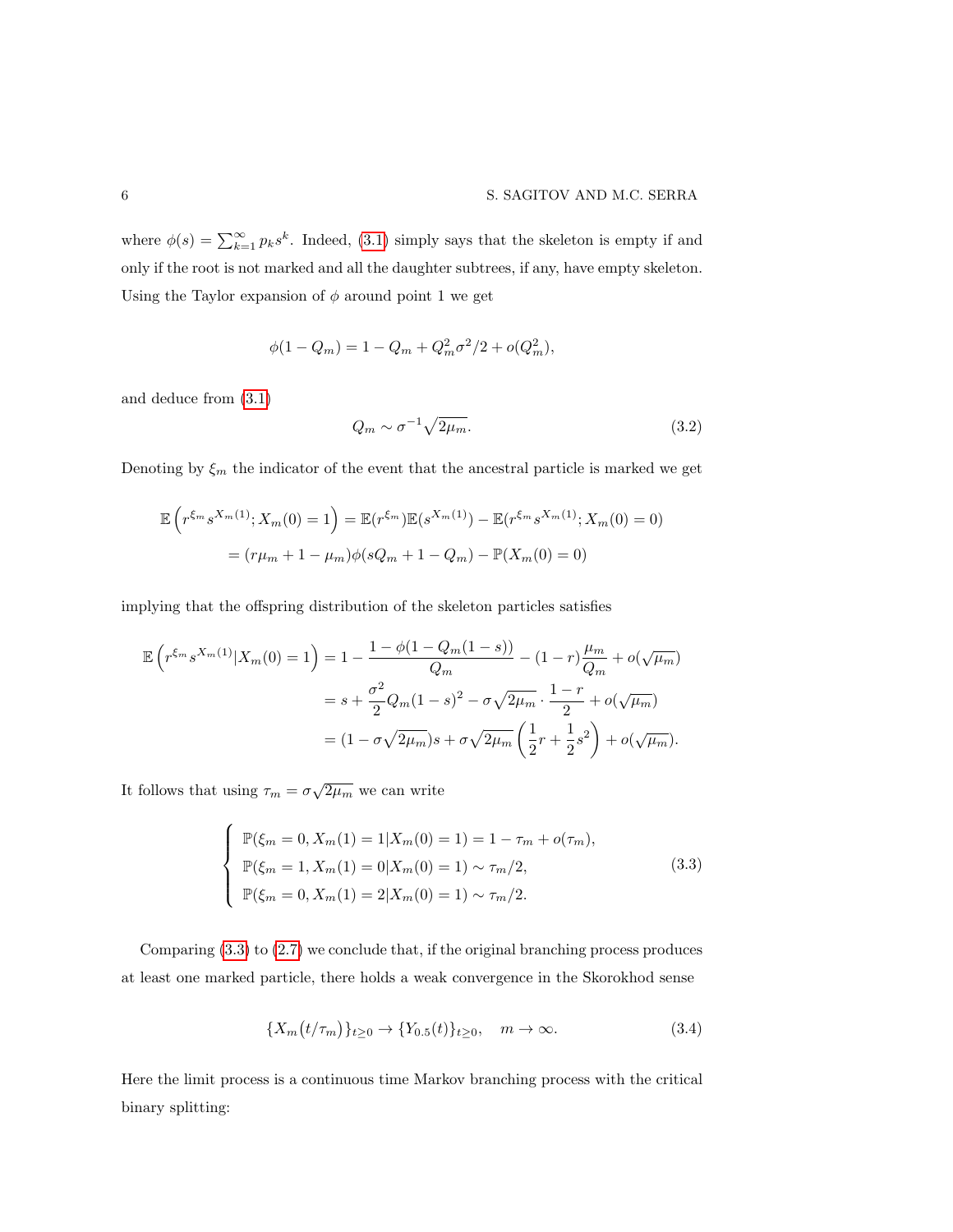where  $\phi(s) = \sum_{k=1}^{\infty} p_k s^k$ . Indeed, [\(3.1\)](#page-4-1) simply says that the skeleton is empty if and only if the root is not marked and all the daughter subtrees, if any, have empty skeleton. Using the Taylor expansion of  $\phi$  around point 1 we get

$$
\phi(1 - Q_m) = 1 - Q_m + Q_m^2 \sigma^2/2 + o(Q_m^2),
$$

and deduce from [\(3.1\)](#page-4-1)

$$
Q_m \sim \sigma^{-1} \sqrt{2\mu_m}.\tag{3.2}
$$

Denoting by  $\xi_m$  the indicator of the event that the ancestral particle is marked we get

$$
\mathbb{E}\left(r^{\xi_m} s^{X_m(1)}; X_m(0) = 1\right) = \mathbb{E}(r^{\xi_m}) \mathbb{E}(s^{X_m(1)}) - \mathbb{E}(r^{\xi_m} s^{X_m(1)}; X_m(0) = 0)
$$

$$
= (r\mu_m + 1 - \mu_m)\phi(sQ_m + 1 - Q_m) - \mathbb{P}(X_m(0) = 0)
$$

implying that the offspring distribution of the skeleton particles satisfies

$$
\mathbb{E}\left(r^{\xi_m} s^{X_m(1)} | X_m(0) = 1\right) = 1 - \frac{1 - \phi(1 - Q_m(1 - s))}{Q_m} - (1 - r)\frac{\mu_m}{Q_m} + o(\sqrt{\mu_m})
$$

$$
= s + \frac{\sigma^2}{2} Q_m (1 - s)^2 - \sigma \sqrt{2\mu_m} \cdot \frac{1 - r}{2} + o(\sqrt{\mu_m})
$$

$$
= (1 - \sigma \sqrt{2\mu_m})s + \sigma \sqrt{2\mu_m} \left(\frac{1}{2}r + \frac{1}{2}s^2\right) + o(\sqrt{\mu_m}).
$$

It follows that using  $\tau_m = \sigma \sqrt{2\mu_m}$  we can write

<span id="page-5-0"></span>
$$
\begin{cases}\n\mathbb{P}(\xi_m = 0, X_m(1) = 1 | X_m(0) = 1) = 1 - \tau_m + o(\tau_m), \\
\mathbb{P}(\xi_m = 1, X_m(1) = 0 | X_m(0) = 1) \sim \tau_m/2, \\
\mathbb{P}(\xi_m = 0, X_m(1) = 2 | X_m(0) = 1) \sim \tau_m/2.\n\end{cases}
$$
\n(3.3)

Comparing [\(3.3\)](#page-5-0) to [\(2.7\)](#page-4-2) we conclude that, if the original branching process produces at least one marked particle, there holds a weak convergence in the Skorokhod sense

<span id="page-5-1"></span>
$$
\{X_m(t/\tau_m)\}_{t\geq 0} \to \{Y_{0.5}(t)\}_{t\geq 0}, \quad m \to \infty. \tag{3.4}
$$

Here the limit process is a continuous time Markov branching process with the critical binary splitting: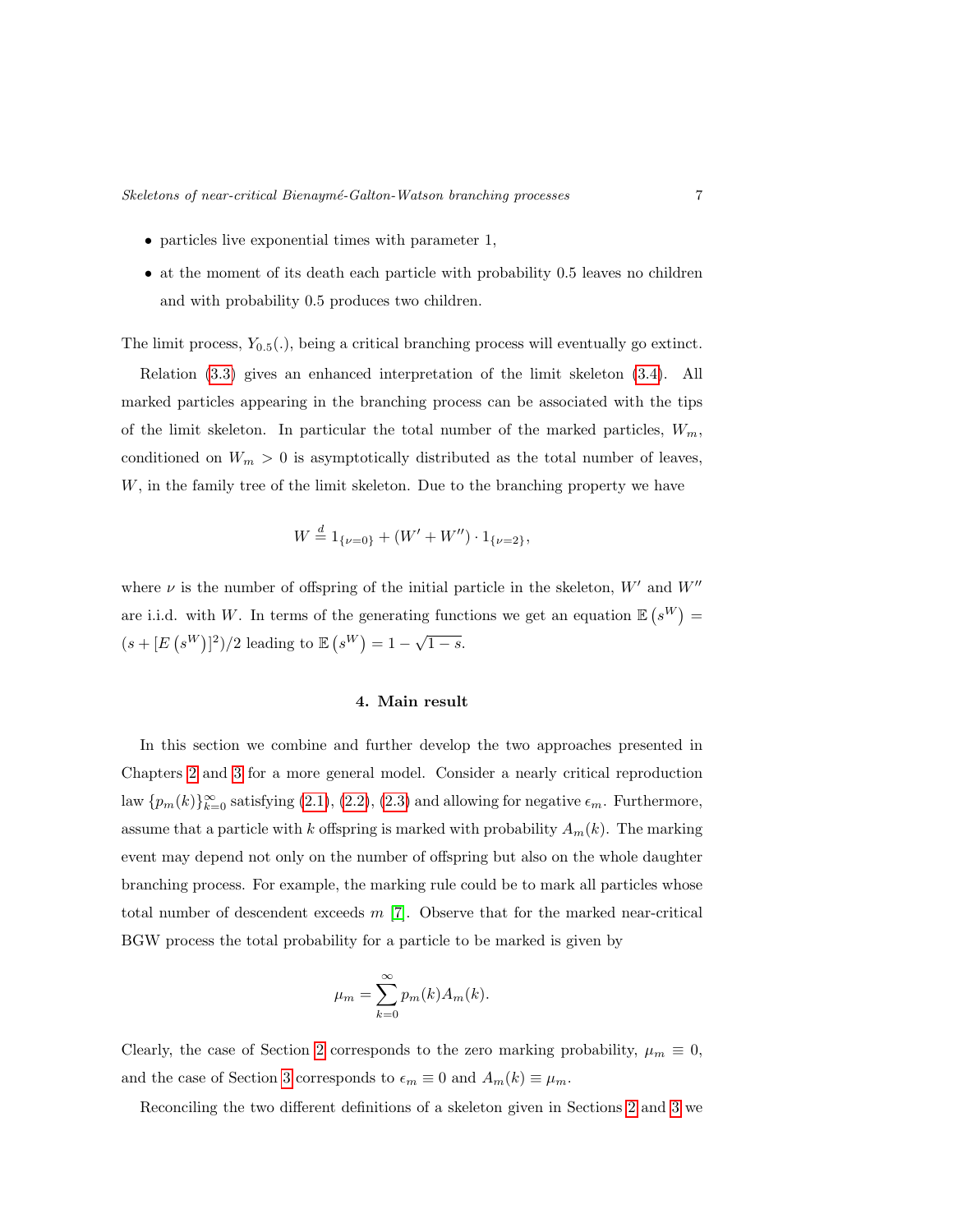- particles live exponential times with parameter 1,
- at the moment of its death each particle with probability 0.5 leaves no children and with probability 0.5 produces two children.

The limit process,  $Y_{0.5}(.)$ , being a critical branching process will eventually go extinct.

Relation [\(3.3\)](#page-5-0) gives an enhanced interpretation of the limit skeleton [\(3.4\)](#page-5-1). All marked particles appearing in the branching process can be associated with the tips of the limit skeleton. In particular the total number of the marked particles,  $W_m$ , conditioned on  $W_m > 0$  is asymptotically distributed as the total number of leaves, W, in the family tree of the limit skeleton. Due to the branching property we have

$$
W \stackrel{d}{=} 1_{\{\nu=0\}} + (W' + W'') \cdot 1_{\{\nu=2\}},
$$

where  $\nu$  is the number of offspring of the initial particle in the skeleton,  $W'$  and  $W''$ are i.i.d. with W. In terms of the generating functions we get an equation  $\mathbb{E}(s^W)$  =  $(s + [E(s^W)]^2)/2$  leading to  $E(s^W) = 1 - \sqrt{1 - s}$ .

## 4. Main result

<span id="page-6-0"></span>In this section we combine and further develop the two approaches presented in Chapters [2](#page-2-0) and [3](#page-4-0) for a more general model. Consider a nearly critical reproduction law  $\{p_m(k)\}_{k=0}^{\infty}$  satisfying  $(2.1), (2.2), (2.3)$  $(2.1), (2.2), (2.3)$  $(2.1), (2.2), (2.3)$  $(2.1), (2.2), (2.3)$  $(2.1), (2.2), (2.3)$  and allowing for negative  $\epsilon_m$ . Furthermore, assume that a particle with k offspring is marked with probability  $A_m(k)$ . The marking event may depend not only on the number of offspring but also on the whole daughter branching process. For example, the marking rule could be to mark all particles whose total number of descendent exceeds  $m$  [\[7\]](#page-20-1). Observe that for the marked near-critical BGW process the total probability for a particle to be marked is given by

$$
\mu_m = \sum_{k=0}^{\infty} p_m(k) A_m(k).
$$

Clearly, the case of Section [2](#page-2-0) corresponds to the zero marking probability,  $\mu_m \equiv 0$ , and the case of Section [3](#page-4-0) corresponds to  $\epsilon_m \equiv 0$  and  $A_m(k) \equiv \mu_m$ .

Reconciling the two different definitions of a skeleton given in Sections [2](#page-2-0) and [3](#page-4-0) we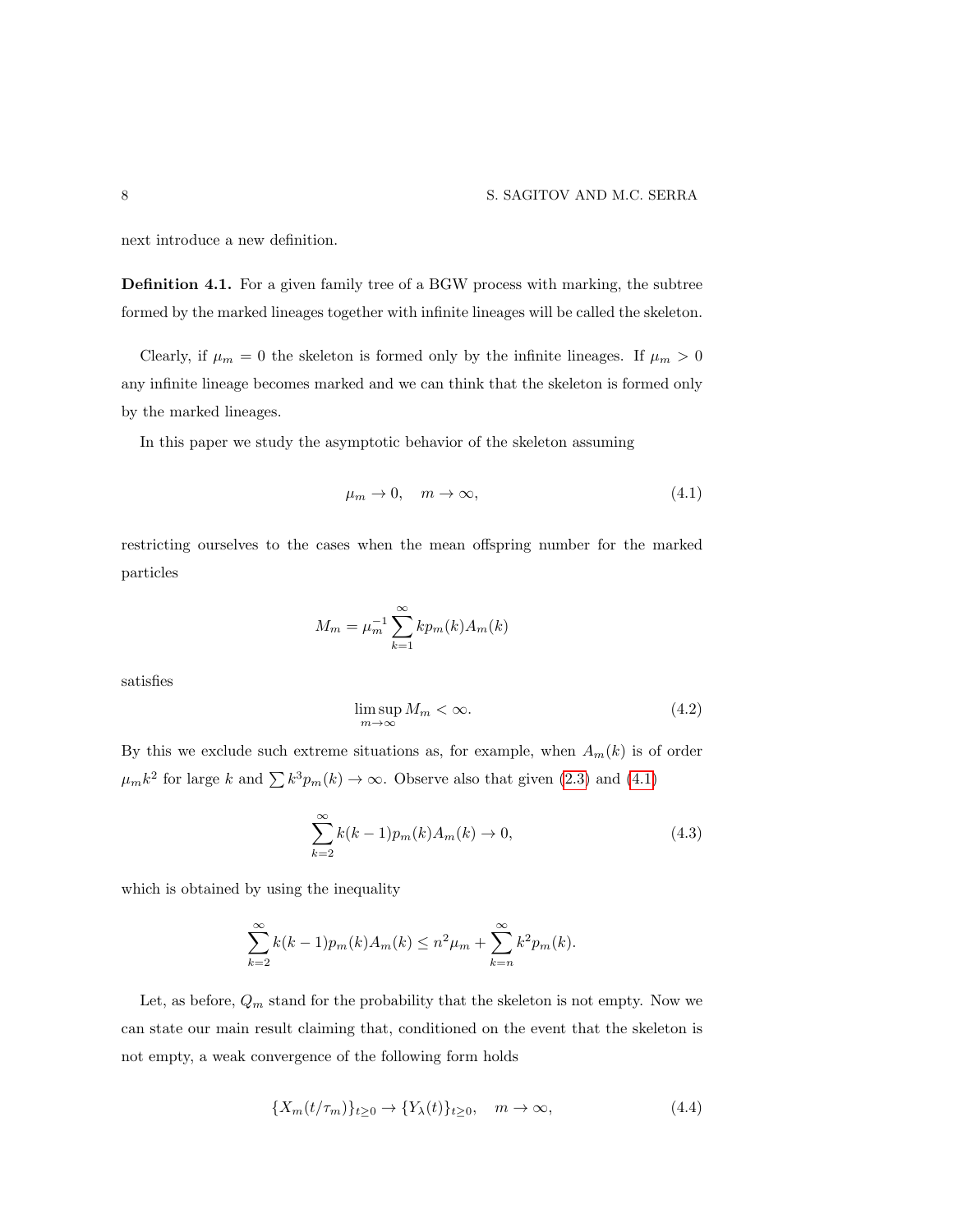next introduce a new definition.

Definition 4.1. For a given family tree of a BGW process with marking, the subtree formed by the marked lineages together with infinite lineages will be called the skeleton.

Clearly, if  $\mu_m = 0$  the skeleton is formed only by the infinite lineages. If  $\mu_m > 0$ any infinite lineage becomes marked and we can think that the skeleton is formed only by the marked lineages.

In this paper we study the asymptotic behavior of the skeleton assuming

<span id="page-7-0"></span>
$$
\mu_m \to 0, \quad m \to \infty,\tag{4.1}
$$

restricting ourselves to the cases when the mean offspring number for the marked particles

$$
M_m = \mu_m^{-1} \sum_{k=1}^{\infty} k p_m(k) A_m(k)
$$

satisfies

<span id="page-7-3"></span><span id="page-7-2"></span>
$$
\limsup_{m \to \infty} M_m < \infty. \tag{4.2}
$$

By this we exclude such extreme situations as, for example, when  $A_m(k)$  is of order  $\mu_m k^2$  for large k and  $\sum k^3 p_m(k) \to \infty$ . Observe also that given [\(2.3\)](#page-3-0) and [\(4.1\)](#page-7-0)

$$
\sum_{k=2}^{\infty} k(k-1)p_m(k)A_m(k) \to 0,
$$
\n(4.3)

which is obtained by using the inequality

$$
\sum_{k=2}^{\infty} k(k-1)p_m(k)A_m(k) \le n^2 \mu_m + \sum_{k=n}^{\infty} k^2 p_m(k).
$$

Let, as before,  $Q_m$  stand for the probability that the skeleton is not empty. Now we can state our main result claiming that, conditioned on the event that the skeleton is not empty, a weak convergence of the following form holds

<span id="page-7-1"></span>
$$
\{X_m(t/\tau_m)\}_{t\geq 0} \to \{Y_\lambda(t)\}_{t\geq 0}, \quad m \to \infty,
$$
\n(4.4)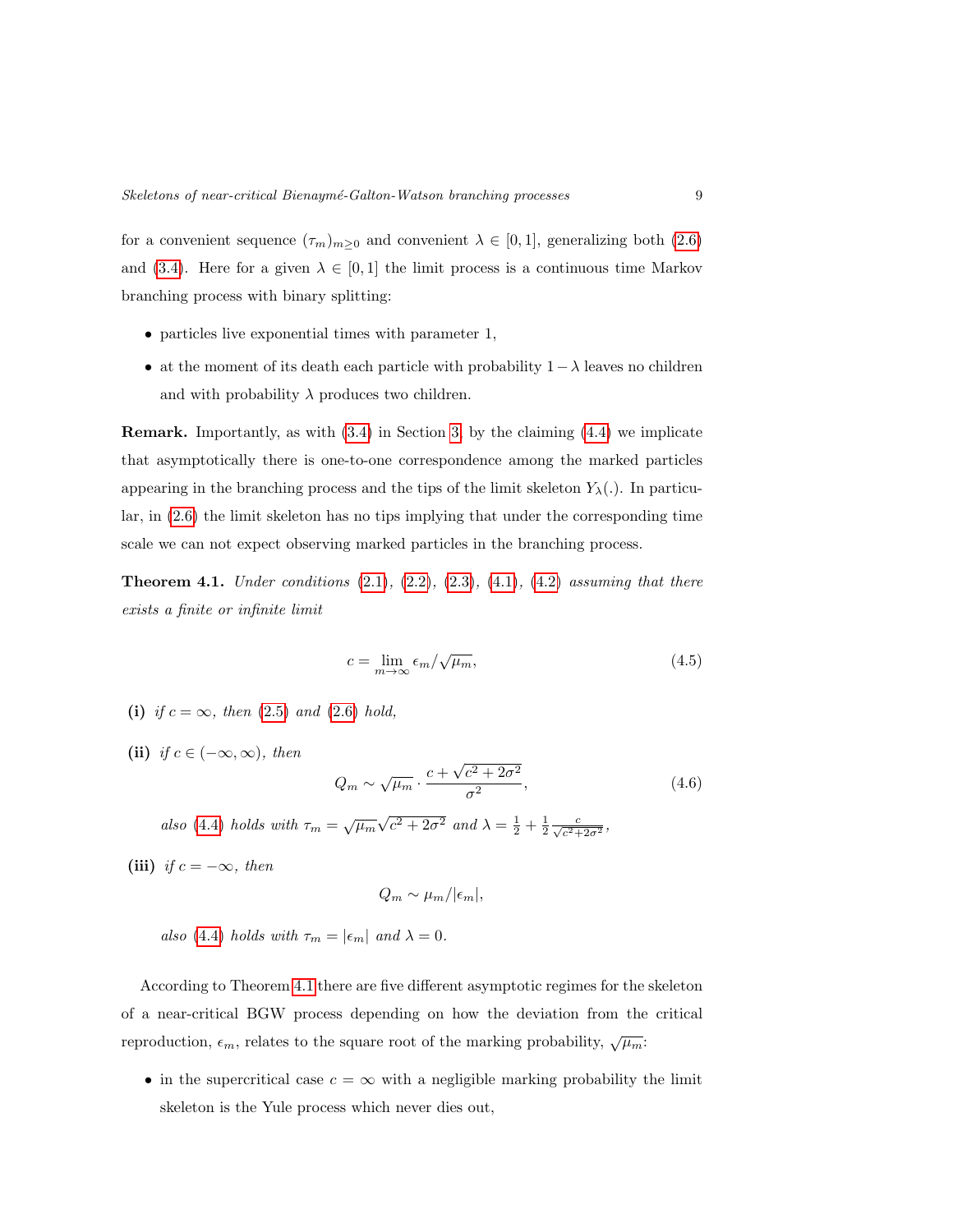for a convenient sequence  $(\tau_m)_{m\geq 0}$  and convenient  $\lambda \in [0,1]$ , generalizing both  $(2.6)$ and [\(3.4\)](#page-5-1). Here for a given  $\lambda \in [0,1]$  the limit process is a continuous time Markov branching process with binary splitting:

- particles live exponential times with parameter 1,
- at the moment of its death each particle with probability  $1 \lambda$  leaves no children and with probability  $\lambda$  produces two children.

Remark. Importantly, as with [\(3.4\)](#page-5-1) in Section [3,](#page-4-0) by the claiming [\(4.4\)](#page-7-1) we implicate that asymptotically there is one-to-one correspondence among the marked particles appearing in the branching process and the tips of the limit skeleton  $Y_{\lambda}(\cdot)$ . In particular, in [\(2.6\)](#page-3-3) the limit skeleton has no tips implying that under the corresponding time scale we can not expect observing marked particles in the branching process.

<span id="page-8-1"></span>**Theorem 4.1.** Under conditions  $(2.1)$ ,  $(2.2)$ ,  $(2.3)$ ,  $(4.1)$ ,  $(4.2)$  assuming that there exists a finite or infinite limit

<span id="page-8-2"></span>
$$
c = \lim_{m \to \infty} \epsilon_m / \sqrt{\mu_m},\tag{4.5}
$$

- (i) if  $c = \infty$ , then [\(2.5\)](#page-3-5) and [\(2.6\)](#page-3-3) hold,
- (ii) if  $c \in (-\infty, \infty)$ , then

<span id="page-8-0"></span>
$$
Q_m \sim \sqrt{\mu_m} \cdot \frac{c + \sqrt{c^2 + 2\sigma^2}}{\sigma^2},\tag{4.6}
$$

also [\(4.4\)](#page-7-1) holds with  $\tau_m = \sqrt{\mu_m} \sqrt{\mu_m}$  $\overline{c^2 + 2\sigma^2}$  and  $\lambda = \frac{1}{2} + \frac{1}{2} \frac{c}{\sqrt{c^2 + 2\sigma^2}}$ ,

(iii) if  $c = -\infty$ , then

$$
Q_m \sim \mu_m/|\epsilon_m|,
$$

also [\(4.4\)](#page-7-1) holds with  $\tau_m = |\epsilon_m|$  and  $\lambda = 0$ .

According to Theorem [4.1](#page-8-1) there are five different asymptotic regimes for the skeleton of a near-critical BGW process depending on how the deviation from the critical reproduction,  $\epsilon_m$ , relates to the square root of the marking probability,  $\sqrt{\mu_m}$ :

• in the supercritical case  $c = \infty$  with a negligible marking probability the limit skeleton is the Yule process which never dies out,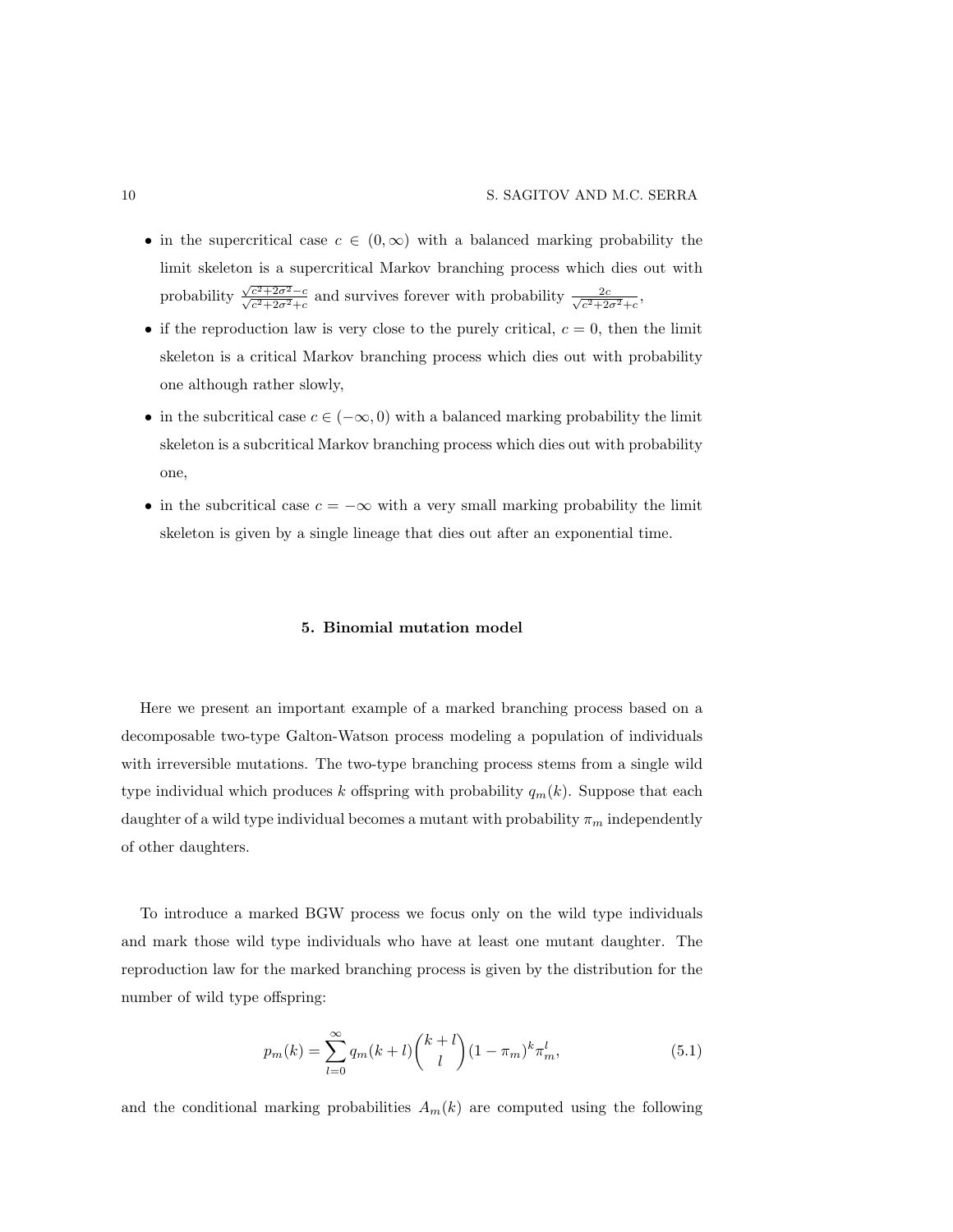- in the supercritical case  $c \in (0,\infty)$  with a balanced marking probability the limit skeleton is a supercritical Markov branching process which dies out with probability  $\frac{\sqrt{c^2+2\sigma^2}-c}{\sqrt{c^2+2\sigma^2}}$  $\frac{c^2+2\sigma^2-c}{c^2+2\sigma^2+c}$  and survives forever with probability  $\frac{2c}{\sqrt{c^2+2c^2}}$  $\frac{2c}{c^2+2\sigma^2+c},$
- if the reproduction law is very close to the purely critical,  $c = 0$ , then the limit skeleton is a critical Markov branching process which dies out with probability one although rather slowly,
- in the subcritical case  $c \in (-\infty, 0)$  with a balanced marking probability the limit skeleton is a subcritical Markov branching process which dies out with probability one,
- <span id="page-9-0"></span>• in the subcritical case  $c = -\infty$  with a very small marking probability the limit skeleton is given by a single lineage that dies out after an exponential time.

#### 5. Binomial mutation model

Here we present an important example of a marked branching process based on a decomposable two-type Galton-Watson process modeling a population of individuals with irreversible mutations. The two-type branching process stems from a single wild type individual which produces k offspring with probability  $q_m(k)$ . Suppose that each daughter of a wild type individual becomes a mutant with probability  $\pi_m$  independently of other daughters.

To introduce a marked BGW process we focus only on the wild type individuals and mark those wild type individuals who have at least one mutant daughter. The reproduction law for the marked branching process is given by the distribution for the number of wild type offspring:

<span id="page-9-1"></span>
$$
p_m(k) = \sum_{l=0}^{\infty} q_m(k+l) \binom{k+l}{l} (1-\pi_m)^k \pi_m^l,
$$
\n(5.1)

and the conditional marking probabilities  $A_m(k)$  are computed using the following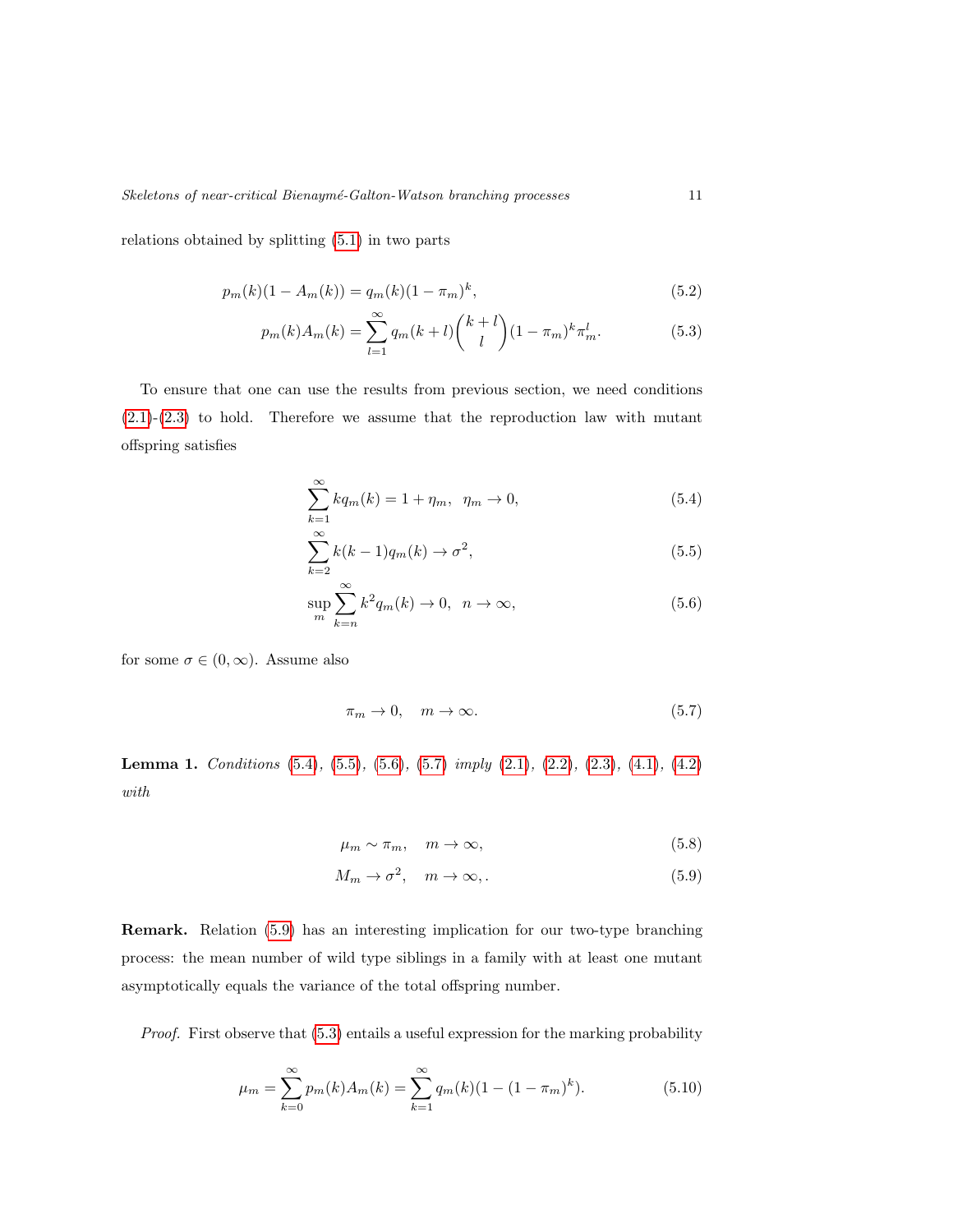relations obtained by splitting [\(5.1\)](#page-9-1) in two parts

$$
p_m(k)(1 - A_m(k)) = q_m(k)(1 - \pi_m)^k,
$$
\n(5.2)

$$
p_m(k)A_m(k) = \sum_{l=1}^{\infty} q_m(k+l) \binom{k+l}{l} (1-\pi_m)^k \pi_m^l.
$$
 (5.3)

To ensure that one can use the results from previous section, we need conditions [\(2.1\)](#page-3-1)-[\(2.3\)](#page-3-0) to hold. Therefore we assume that the reproduction law with mutant offspring satisfies

<span id="page-10-8"></span><span id="page-10-5"></span><span id="page-10-0"></span>
$$
\sum_{k=1}^{\infty} k q_m(k) = 1 + \eta_m, \ \eta_m \to 0,
$$
\n(5.4)

<span id="page-10-1"></span>
$$
\sum_{k=2}^{\infty} k(k-1)q_m(k) \to \sigma^2,
$$
\n(5.5)

$$
\sup_{m} \sum_{k=n}^{\infty} k^2 q_m(k) \to 0, \ \ n \to \infty,
$$
\n(5.6)

for some  $\sigma \in (0, \infty)$ . Assume also

<span id="page-10-3"></span><span id="page-10-2"></span>
$$
\pi_m \to 0, \quad m \to \infty. \tag{5.7}
$$

Lemma 1. Conditions [\(5.4\)](#page-10-0), [\(5.5\)](#page-10-1), [\(5.6\)](#page-10-2), [\(5.7\)](#page-10-3) imply [\(2.1\)](#page-3-1), [\(2.2\)](#page-3-2), [\(2.3\)](#page-3-0), [\(4.1\)](#page-7-0), [\(4.2\)](#page-7-2) with

<span id="page-10-7"></span><span id="page-10-4"></span>
$$
\mu_m \sim \pi_m, \quad m \to \infty,\tag{5.8}
$$

<span id="page-10-6"></span>
$$
M_m \to \sigma^2, \quad m \to \infty, \tag{5.9}
$$

Remark. Relation [\(5.9\)](#page-10-4) has an interesting implication for our two-type branching process: the mean number of wild type siblings in a family with at least one mutant asymptotically equals the variance of the total offspring number.

Proof. First observe that [\(5.3\)](#page-10-5) entails a useful expression for the marking probability

$$
\mu_m = \sum_{k=0}^{\infty} p_m(k) A_m(k) = \sum_{k=1}^{\infty} q_m(k) (1 - (1 - \pi_m)^k).
$$
 (5.10)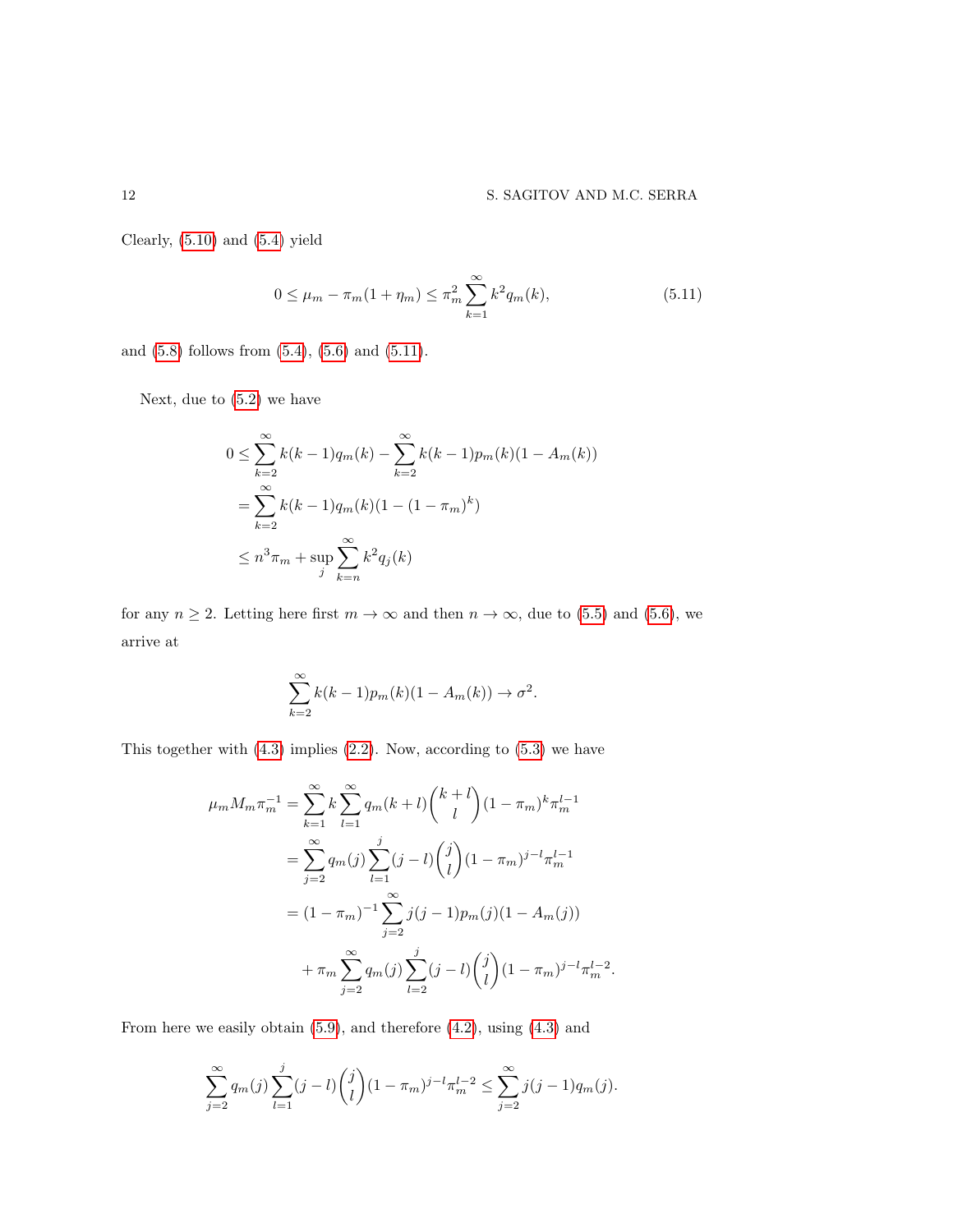Clearly, [\(5.10\)](#page-10-6) and [\(5.4\)](#page-10-0) yield

<span id="page-11-0"></span>
$$
0 \le \mu_m - \pi_m (1 + \eta_m) \le \pi_m^2 \sum_{k=1}^{\infty} k^2 q_m(k), \tag{5.11}
$$

and [\(5.8\)](#page-10-7) follows from [\(5.4\)](#page-10-0), [\(5.6\)](#page-10-2) and [\(5.11\)](#page-11-0).

Next, due to [\(5.2\)](#page-10-8) we have

$$
0 \le \sum_{k=2}^{\infty} k(k-1)q_m(k) - \sum_{k=2}^{\infty} k(k-1)p_m(k)(1 - A_m(k))
$$
  
= 
$$
\sum_{k=2}^{\infty} k(k-1)q_m(k)(1 - (1 - \pi_m)^k)
$$
  

$$
\le n^3 \pi_m + \sup_j \sum_{k=n}^{\infty} k^2 q_j(k)
$$

for any  $n \ge 2$ . Letting here first  $m \to \infty$  and then  $n \to \infty$ , due to [\(5.5\)](#page-10-1) and [\(5.6\)](#page-10-2), we arrive at

$$
\sum_{k=2}^{\infty} k(k-1)p_m(k)(1-A_m(k)) \to \sigma^2.
$$

This together with  $(4.3)$  implies  $(2.2)$ . Now, according to  $(5.3)$  we have

$$
\mu_m M_m \pi_m^{-1} = \sum_{k=1}^{\infty} k \sum_{l=1}^{\infty} q_m (k+l) {k+l \choose l} (1-\pi_m)^k \pi_m^{l-1}
$$
  
= 
$$
\sum_{j=2}^{\infty} q_m(j) \sum_{l=1}^j (j-l) {j \choose l} (1-\pi_m)^{j-l} \pi_m^{l-1}
$$
  
= 
$$
(1-\pi_m)^{-1} \sum_{j=2}^{\infty} j(j-1) p_m(j) (1-A_m(j))
$$
  
+ 
$$
\pi_m \sum_{j=2}^{\infty} q_m(j) \sum_{l=2}^j (j-l) {j \choose l} (1-\pi_m)^{j-l} \pi_m^{l-2}.
$$

From here we easily obtain [\(5.9\)](#page-10-4), and therefore [\(4.2\)](#page-7-2), using [\(4.3\)](#page-7-3) and

$$
\sum_{j=2}^{\infty} q_m(j) \sum_{l=1}^j (j-l) {j \choose l} (1-\pi_m)^{j-l} \pi_m^{l-2} \le \sum_{j=2}^{\infty} j(j-1) q_m(j).
$$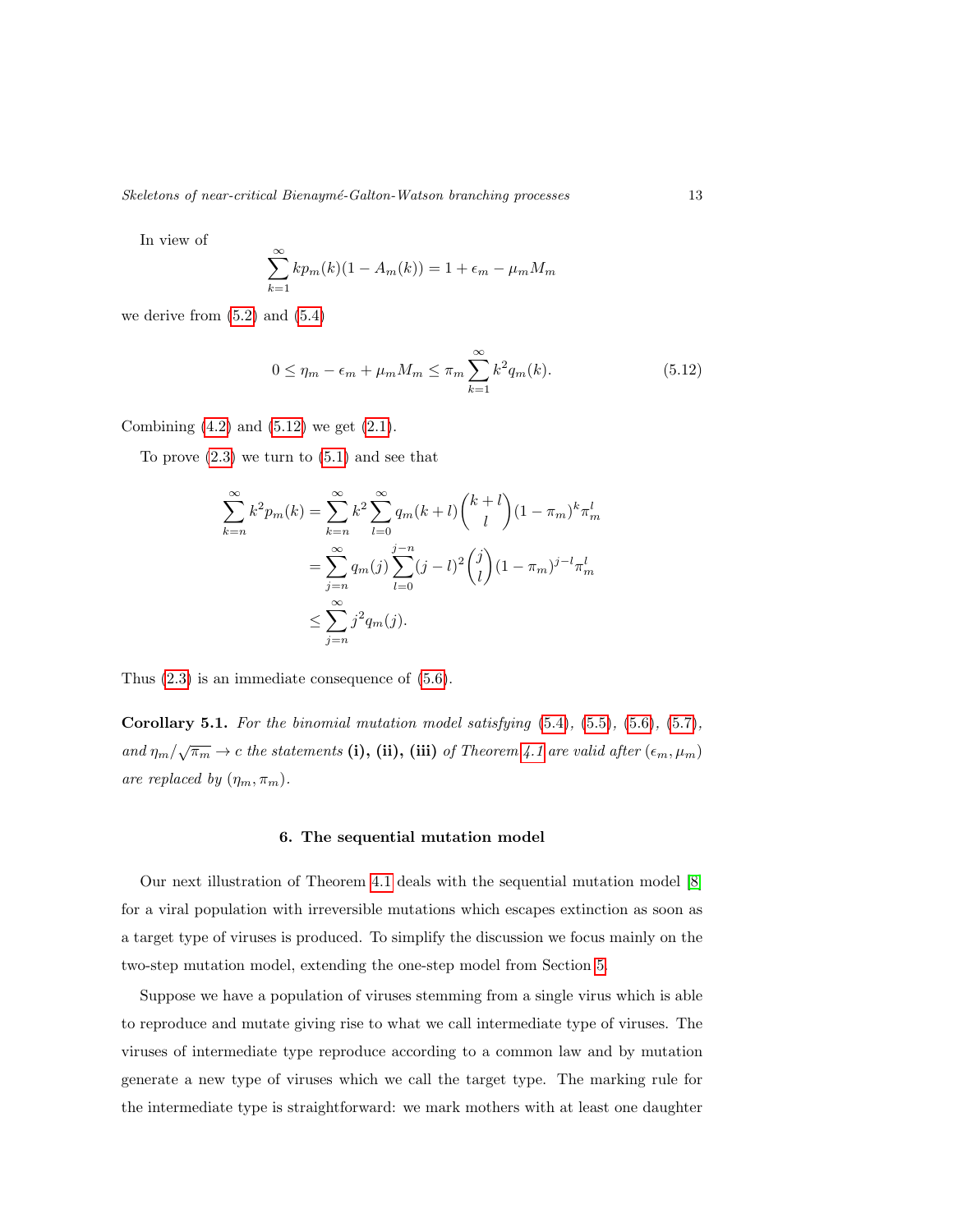Skeletons of near-critical Bienaymé-Galton-Watson branching processes 13

In view of

$$
\sum_{k=1}^{\infty} k p_m(k)(1 - A_m(k)) = 1 + \epsilon_m - \mu_m M_m
$$

we derive from  $(5.2)$  and  $(5.4)$ 

<span id="page-12-1"></span>
$$
0 \le \eta_m - \epsilon_m + \mu_m M_m \le \pi_m \sum_{k=1}^{\infty} k^2 q_m(k). \tag{5.12}
$$

Combining  $(4.2)$  and  $(5.12)$  we get  $(2.1)$ .

To prove  $(2.3)$  we turn to  $(5.1)$  and see that

$$
\sum_{k=n}^{\infty} k^2 p_m(k) = \sum_{k=n}^{\infty} k^2 \sum_{l=0}^{\infty} q_m(k+l) {k+l \choose l} (1-\pi_m)^k \pi_m^l
$$
  
= 
$$
\sum_{j=n}^{\infty} q_m(j) \sum_{l=0}^{j-n} (j-l)^2 {j \choose l} (1-\pi_m)^{j-l} \pi_m^l
$$
  

$$
\leq \sum_{j=n}^{\infty} j^2 q_m(j).
$$

Thus [\(2.3\)](#page-3-0) is an immediate consequence of [\(5.6\)](#page-10-2).

<span id="page-12-2"></span>Corollary 5.1. For the binomial mutation model satisfying [\(5.4\)](#page-10-0), [\(5.5\)](#page-10-1), [\(5.6\)](#page-10-2), [\(5.7\)](#page-10-3), and  $\eta_m/\sqrt{\pi_m} \to c$  the statements (i), (ii), (iii) of Theorem [4.1](#page-8-1) are valid after  $(\epsilon_m, \mu_m)$ are replaced by  $(\eta_m, \pi_m)$ .

#### 6. The sequential mutation model

<span id="page-12-0"></span>Our next illustration of Theorem [4.1](#page-8-1) deals with the sequential mutation model [\[8\]](#page-20-2) for a viral population with irreversible mutations which escapes extinction as soon as a target type of viruses is produced. To simplify the discussion we focus mainly on the two-step mutation model, extending the one-step model from Section [5.](#page-9-0)

Suppose we have a population of viruses stemming from a single virus which is able to reproduce and mutate giving rise to what we call intermediate type of viruses. The viruses of intermediate type reproduce according to a common law and by mutation generate a new type of viruses which we call the target type. The marking rule for the intermediate type is straightforward: we mark mothers with at least one daughter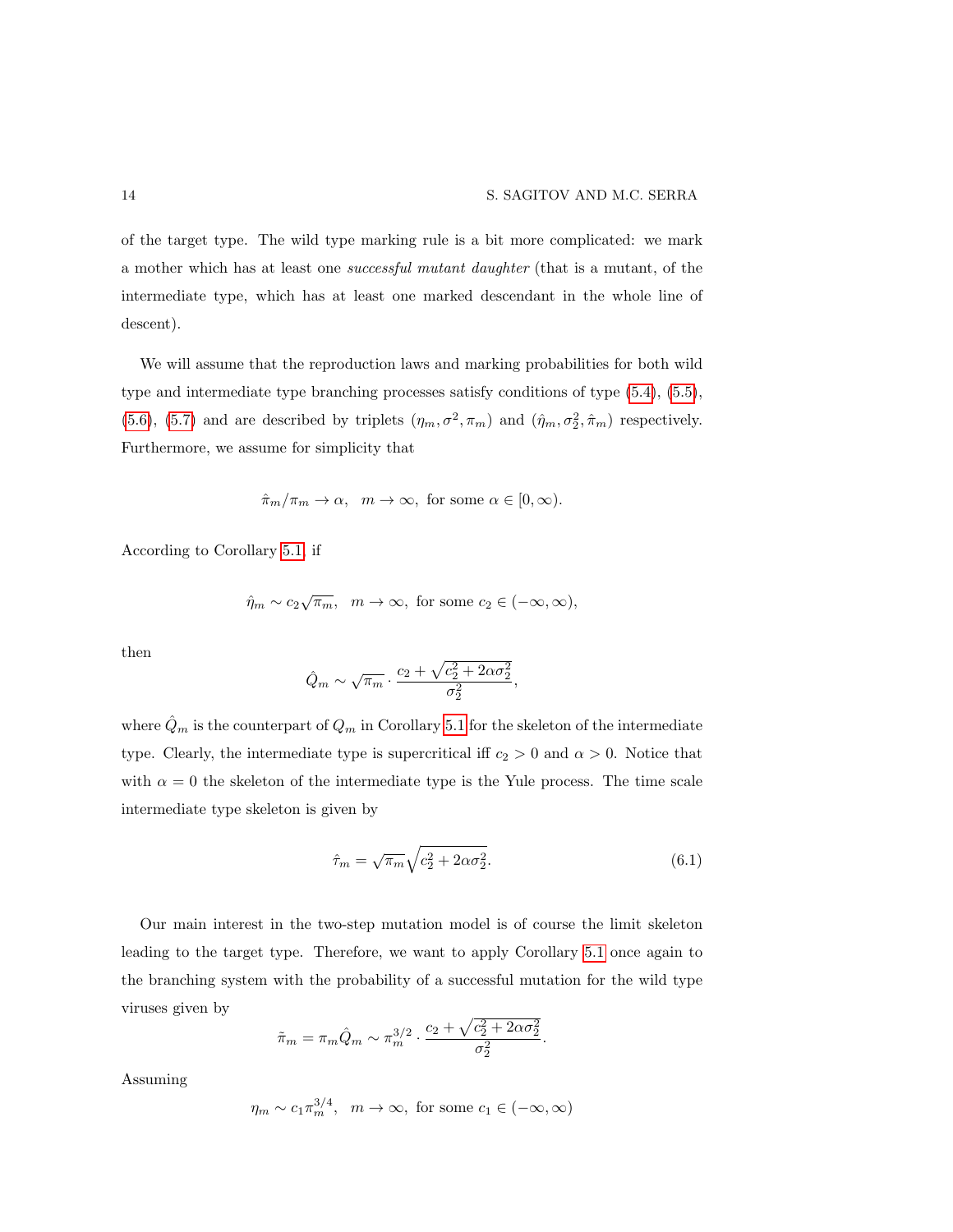of the target type. The wild type marking rule is a bit more complicated: we mark a mother which has at least one successful mutant daughter (that is a mutant, of the intermediate type, which has at least one marked descendant in the whole line of descent).

We will assume that the reproduction laws and marking probabilities for both wild type and intermediate type branching processes satisfy conditions of type [\(5.4\)](#page-10-0), [\(5.5\)](#page-10-1), [\(5.6\)](#page-10-2), [\(5.7\)](#page-10-3) and are described by triplets  $(\eta_m, \sigma^2, \pi_m)$  and  $(\hat{\eta}_m, \sigma_2^2, \hat{\pi}_m)$  respectively. Furthermore, we assume for simplicity that

$$
\hat{\pi}_m/\pi_m \to \alpha, \ \ m \to \infty, \text{ for some } \alpha \in [0, \infty).
$$

According to Corollary [5.1,](#page-12-2) if

$$
\hat{\eta}_m \sim c_2 \sqrt{\pi_m}, \quad m \to \infty, \text{ for some } c_2 \in (-\infty, \infty),
$$

then

$$
\hat{Q}_m \sim \sqrt{\pi_m} \cdot \frac{c_2 + \sqrt{c_2^2 + 2\alpha \sigma_2^2}}{\sigma_2^2},
$$

where  $\hat{Q}_m$  is the counterpart of  $Q_m$  in Corollary [5.1](#page-12-2) for the skeleton of the intermediate type. Clearly, the intermediate type is supercritical iff  $c_2 > 0$  and  $\alpha > 0$ . Notice that with  $\alpha = 0$  the skeleton of the intermediate type is the Yule process. The time scale intermediate type skeleton is given by

<span id="page-13-0"></span>
$$
\hat{\tau}_m = \sqrt{\pi_m} \sqrt{c_2^2 + 2\alpha \sigma_2^2}.
$$
\n(6.1)

Our main interest in the two-step mutation model is of course the limit skeleton leading to the target type. Therefore, we want to apply Corollary [5.1](#page-12-2) once again to the branching system with the probability of a successful mutation for the wild type viruses given by

$$
\tilde{\pi}_m = \pi_m \hat{Q}_m \sim \pi_m^{3/2} \cdot \frac{c_2 + \sqrt{c_2^2 + 2\alpha \sigma_2^2}}{\sigma_2^2}.
$$

Assuming

$$
\eta_m \sim c_1 \pi_m^{3/4}, \quad m \to \infty
$$
, for some  $c_1 \in (-\infty, \infty)$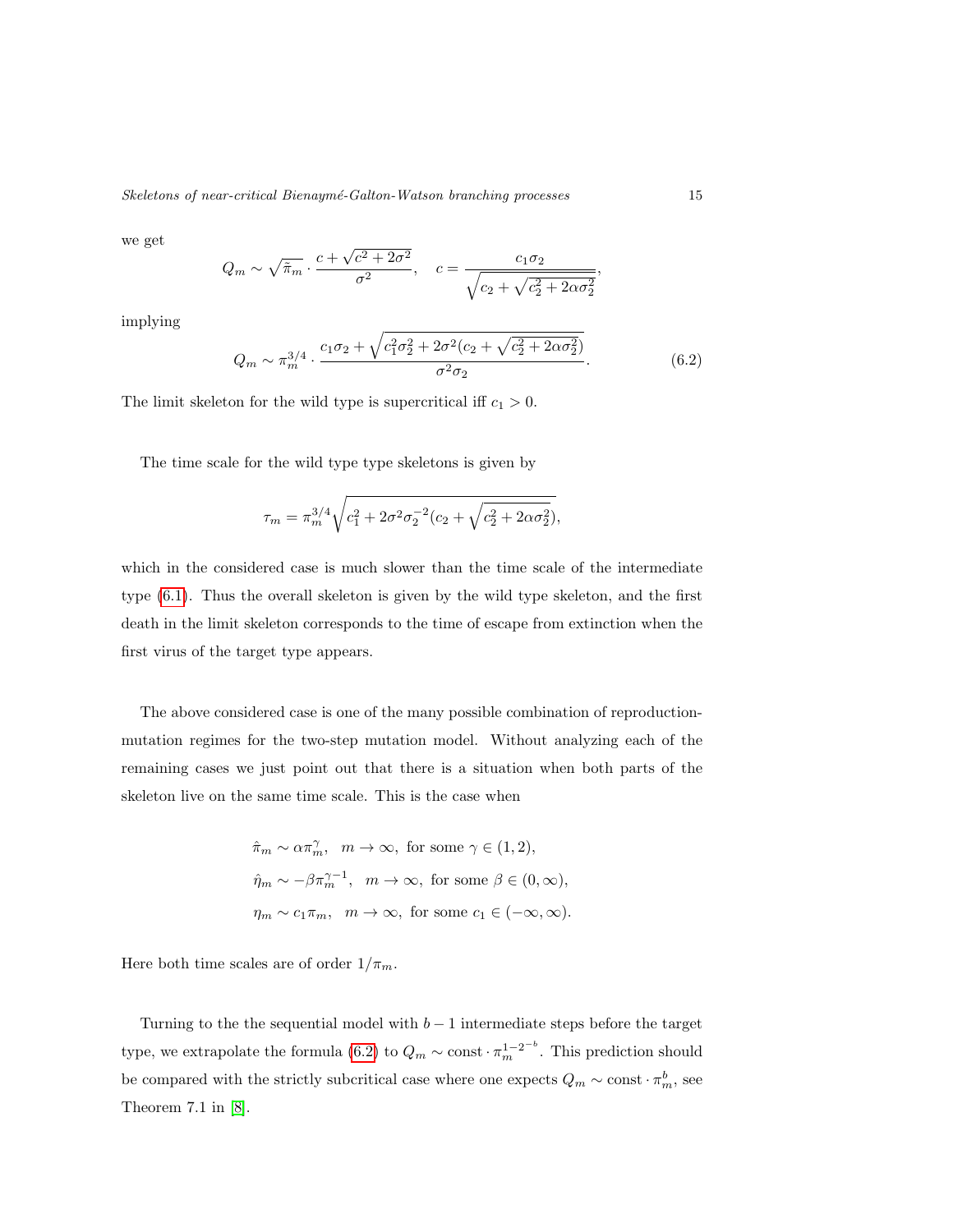we get

$$
Q_m \sim \sqrt{\tilde{\pi}_m} \cdot \frac{c + \sqrt{c^2 + 2\sigma^2}}{\sigma^2}, \quad c = \frac{c_1 \sigma_2}{\sqrt{c_2 + \sqrt{c_2^2 + 2\alpha \sigma_2^2}}},
$$

implying

<span id="page-14-0"></span>
$$
Q_m \sim \pi_m^{3/4} \cdot \frac{c_1 \sigma_2 + \sqrt{c_1^2 \sigma_2^2 + 2\sigma^2 (c_2 + \sqrt{c_2^2 + 2\alpha \sigma_2^2})}}{\sigma^2 \sigma_2}.
$$
 (6.2)

The limit skeleton for the wild type is supercritical iff  $c_1 > 0$ .

The time scale for the wild type type skeletons is given by

$$
\tau_m = \pi_m^{3/4} \sqrt{c_1^2 + 2\sigma^2 \sigma_2^{-2} (c_2 + \sqrt{c_2^2 + 2\alpha \sigma_2^2})},
$$

which in the considered case is much slower than the time scale of the intermediate type [\(6.1\)](#page-13-0). Thus the overall skeleton is given by the wild type skeleton, and the first death in the limit skeleton corresponds to the time of escape from extinction when the first virus of the target type appears.

The above considered case is one of the many possible combination of reproductionmutation regimes for the two-step mutation model. Without analyzing each of the remaining cases we just point out that there is a situation when both parts of the skeleton live on the same time scale. This is the case when

$$
\hat{\pi}_m \sim \alpha \pi_m^{\gamma}, \quad m \to \infty, \text{ for some } \gamma \in (1, 2),
$$
  

$$
\hat{\eta}_m \sim -\beta \pi_m^{\gamma-1}, \quad m \to \infty, \text{ for some } \beta \in (0, \infty),
$$
  

$$
\eta_m \sim c_1 \pi_m, \quad m \to \infty, \text{ for some } c_1 \in (-\infty, \infty).
$$

Here both time scales are of order  $1/\pi_m$ .

Turning to the the sequential model with  $b-1$  intermediate steps before the target type, we extrapolate the formula [\(6.2\)](#page-14-0) to  $Q_m \sim \text{const} \cdot \pi_m^{1-2^{-b}}$ . This prediction should be compared with the strictly subcritical case where one expects  $Q_m \sim \text{const} \cdot \pi_m^b$ , see Theorem 7.1 in [\[8\]](#page-20-2).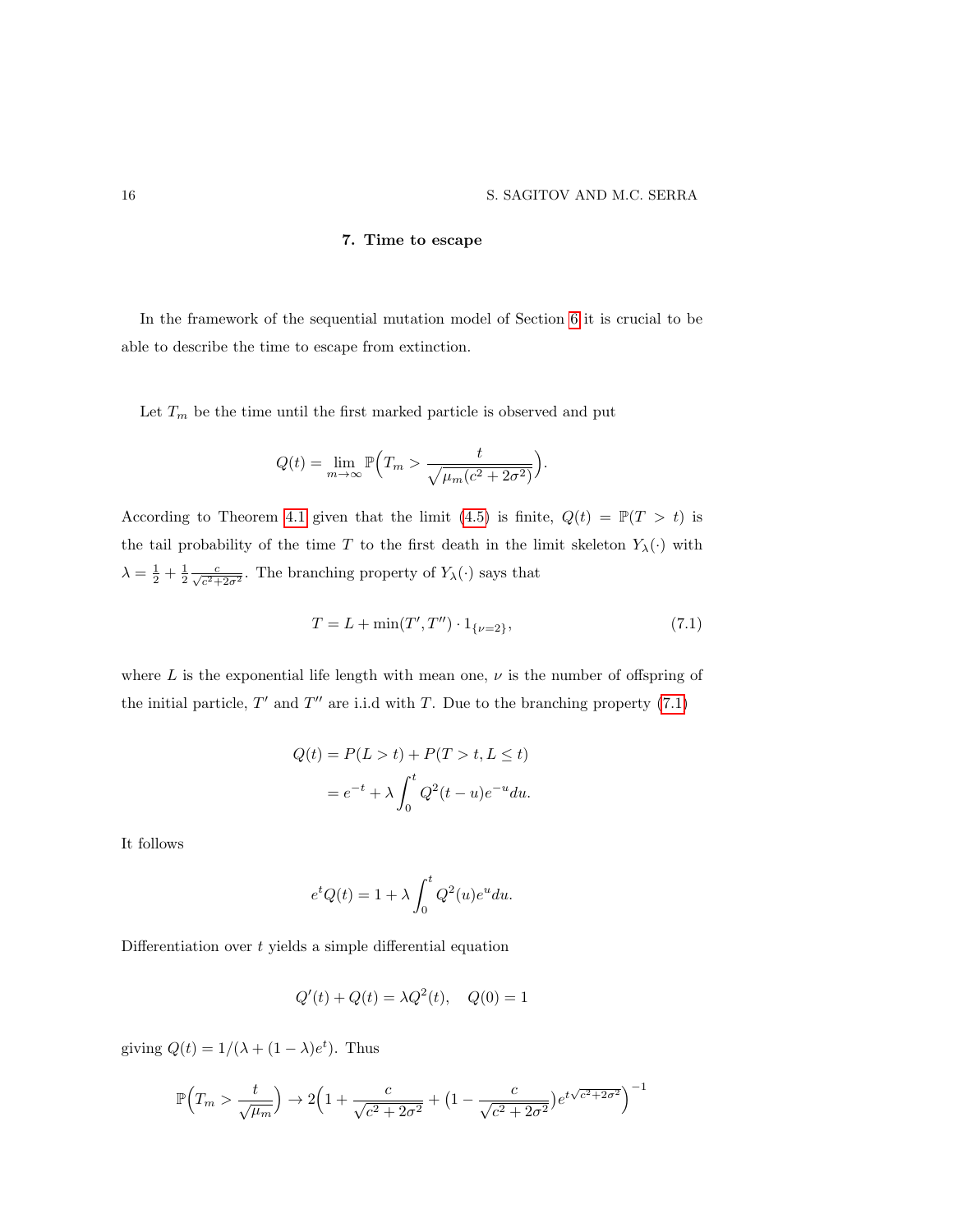## 7. Time to escape

In the framework of the sequential mutation model of Section [6](#page-12-0) it is crucial to be able to describe the time to escape from extinction.

Let  $T_m$  be the time until the first marked particle is observed and put

$$
Q(t) = \lim_{m \to \infty} \mathbb{P}\Big( T_m > \frac{t}{\sqrt{\mu_m (c^2 + 2\sigma^2)}} \Big).
$$

According to Theorem [4.1](#page-8-1) given that the limit [\(4.5\)](#page-8-2) is finite,  $Q(t) = \mathbb{P}(T > t)$  is the tail probability of the time T to the first death in the limit skeleton  $Y_\lambda(\cdot)$  with  $\lambda = \frac{1}{2} + \frac{1}{2} \frac{c}{\sqrt{c^2 + 2\sigma^2}}$ . The branching property of  $Y_\lambda(\cdot)$  says that

<span id="page-15-0"></span>
$$
T = L + \min(T', T'') \cdot 1_{\{\nu = 2\}},\tag{7.1}
$$

where  $L$  is the exponential life length with mean one,  $\nu$  is the number of offspring of the initial particle,  $T'$  and  $T''$  are i.i.d with T. Due to the branching property [\(7.1\)](#page-15-0)

$$
Q(t) = P(L > t) + P(T > t, L \le t)
$$

$$
= e^{-t} + \lambda \int_0^t Q^2(t - u)e^{-u} du.
$$

It follows

$$
e^t Q(t) = 1 + \lambda \int_0^t Q^2(u)e^u du.
$$

Differentiation over  $t$  yields a simple differential equation

$$
Q'(t) + Q(t) = \lambda Q^2(t), \quad Q(0) = 1
$$

giving  $Q(t) = 1/(\lambda + (1 - \lambda)e^{t})$ . Thus

$$
\mathbb{P}\Big(T_m > \frac{t}{\sqrt{\mu_m}}\Big) \to 2\Big(1 + \frac{c}{\sqrt{c^2 + 2\sigma^2}} + \Big(1 - \frac{c}{\sqrt{c^2 + 2\sigma^2}}\Big)e^{t\sqrt{c^2 + 2\sigma^2}}\Big)^{-1}
$$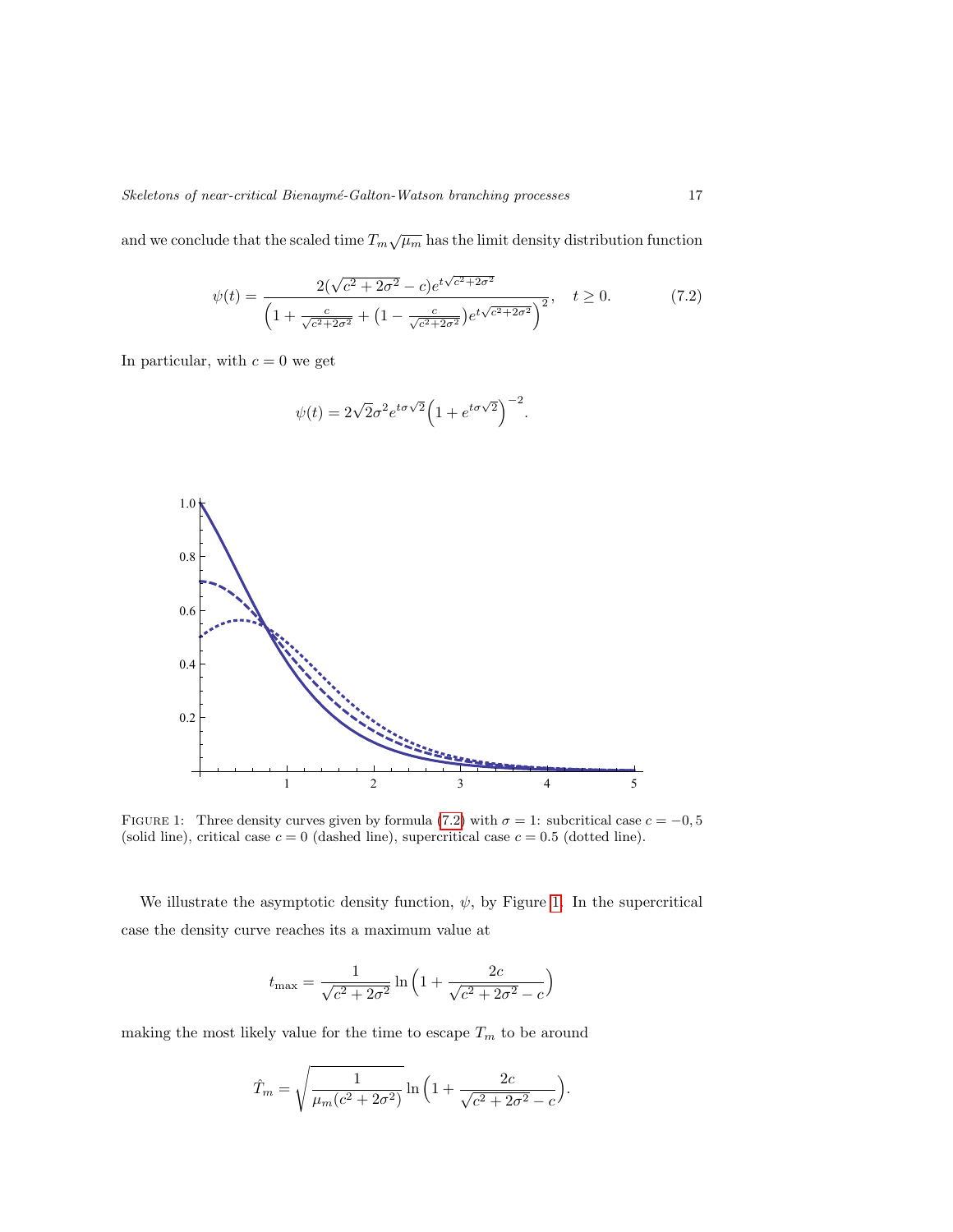and we conclude that the scaled time  $T_m\sqrt{\mu_m}$  has the limit density distribution function

<span id="page-16-0"></span>
$$
\psi(t) = \frac{2(\sqrt{c^2 + 2\sigma^2} - c)e^{t\sqrt{c^2 + 2\sigma^2}}}{\left(1 + \frac{c}{\sqrt{c^2 + 2\sigma^2}} + \left(1 - \frac{c}{\sqrt{c^2 + 2\sigma^2}}\right)e^{t\sqrt{c^2 + 2\sigma^2}}\right)^2}, \quad t \ge 0.
$$
\n(7.2)

In particular, with  $c = 0$  we get

$$
\psi(t) = 2\sqrt{2}\sigma^2 e^{t\sigma\sqrt{2}} \left(1 + e^{t\sigma\sqrt{2}}\right)^{-2}.
$$



<span id="page-16-1"></span>FIGURE 1: Three density curves given by formula [\(7.2\)](#page-16-0) with  $\sigma = 1$ : subcritical case  $c = -0, 5$ (solid line), critical case  $c = 0$  (dashed line), supercritical case  $c = 0.5$  (dotted line).

We illustrate the asymptotic density function,  $\psi$ , by Figure [1.](#page-16-1) In the supercritical case the density curve reaches its a maximum value at

$$
t_{\max} = \frac{1}{\sqrt{c^2 + 2\sigma^2}} \ln\left(1 + \frac{2c}{\sqrt{c^2 + 2\sigma^2} - c}\right)
$$

making the most likely value for the time to escape  $\mathcal{T}_m$  to be around

$$
\hat{T}_m = \sqrt{\frac{1}{\mu_m (c^2 + 2\sigma^2)}} \ln \left( 1 + \frac{2c}{\sqrt{c^2 + 2\sigma^2} - c} \right).
$$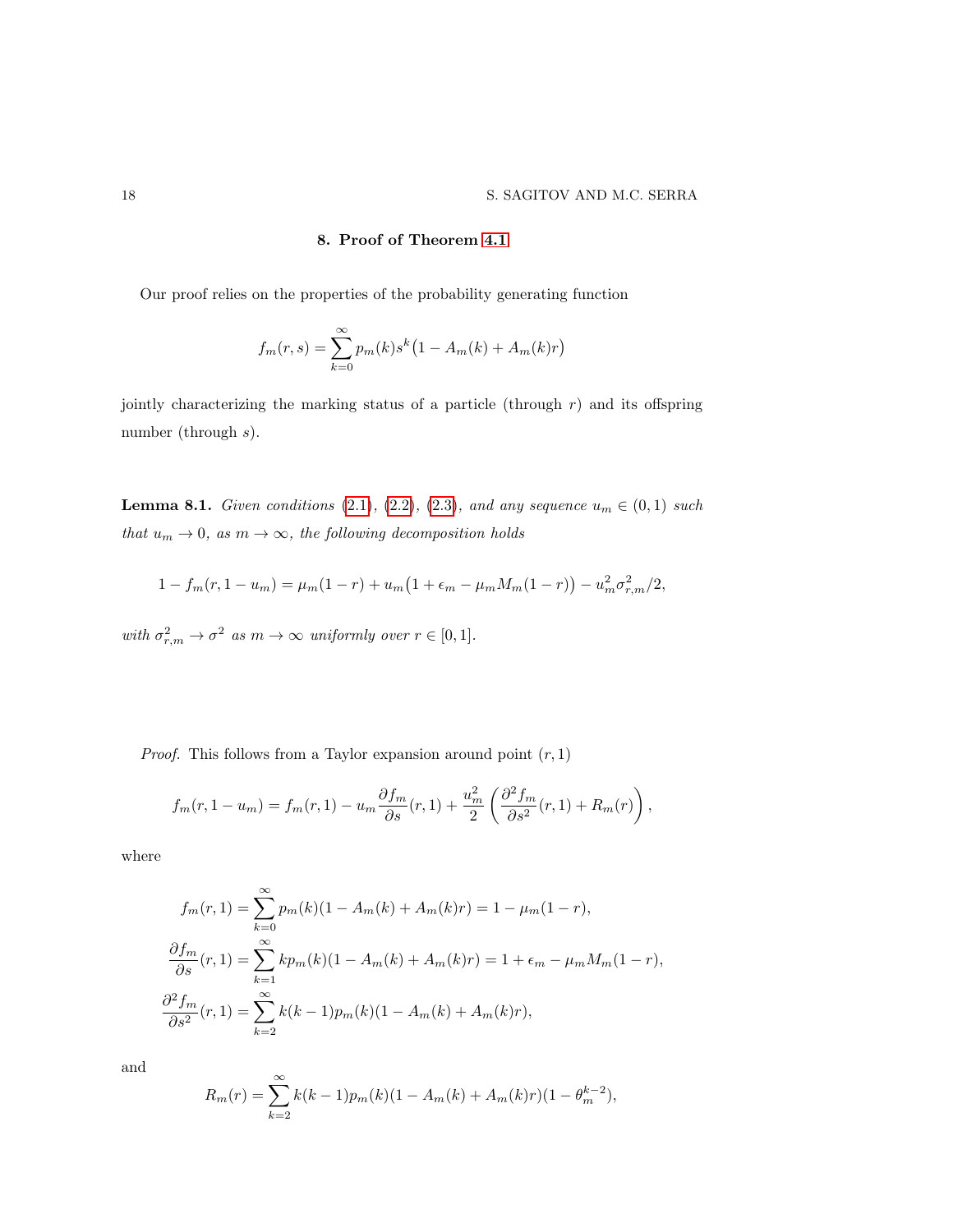# 8. Proof of Theorem [4.1](#page-8-1)

Our proof relies on the properties of the probability generating function

$$
f_m(r,s) = \sum_{k=0}^{\infty} p_m(k) s^k (1 - A_m(k) + A_m(k)r)
$$

jointly characterizing the marking status of a particle (through  $r$ ) and its offspring number (through s).

**Lemma 8.1.** Given conditions [\(2.1\)](#page-3-1), [\(2.2\)](#page-3-2), [\(2.3\)](#page-3-0), and any sequence  $u_m \in (0,1)$  such that  $u_m \to 0$ , as  $m \to \infty$ , the following decomposition holds

$$
1 - f_m(r, 1 - u_m) = \mu_m(1 - r) + u_m(1 + \epsilon_m - \mu_m M_m(1 - r)) - u_m^2 \sigma_{r,m}^2/2,
$$

with  $\sigma_{r,m}^2 \to \sigma^2$  as  $m \to \infty$  uniformly over  $r \in [0,1]$ .

*Proof.* This follows from a Taylor expansion around point  $(r, 1)$ 

$$
f_m(r, 1 - u_m) = f_m(r, 1) - u_m \frac{\partial f_m}{\partial s}(r, 1) + \frac{u_m^2}{2} \left( \frac{\partial^2 f_m}{\partial s^2}(r, 1) + R_m(r) \right),
$$

where

$$
f_m(r,1) = \sum_{k=0}^{\infty} p_m(k)(1 - A_m(k) + A_m(k)r) = 1 - \mu_m(1 - r),
$$
  

$$
\frac{\partial f_m}{\partial s}(r,1) = \sum_{k=1}^{\infty} k p_m(k)(1 - A_m(k) + A_m(k)r) = 1 + \epsilon_m - \mu_m M_m(1 - r),
$$
  

$$
\frac{\partial^2 f_m}{\partial s^2}(r,1) = \sum_{k=2}^{\infty} k(k-1)p_m(k)(1 - A_m(k) + A_m(k)r),
$$

and

$$
R_m(r) = \sum_{k=2}^{\infty} k(k-1)p_m(k)(1 - A_m(k) + A_m(k)r)(1 - \theta_m^{k-2}),
$$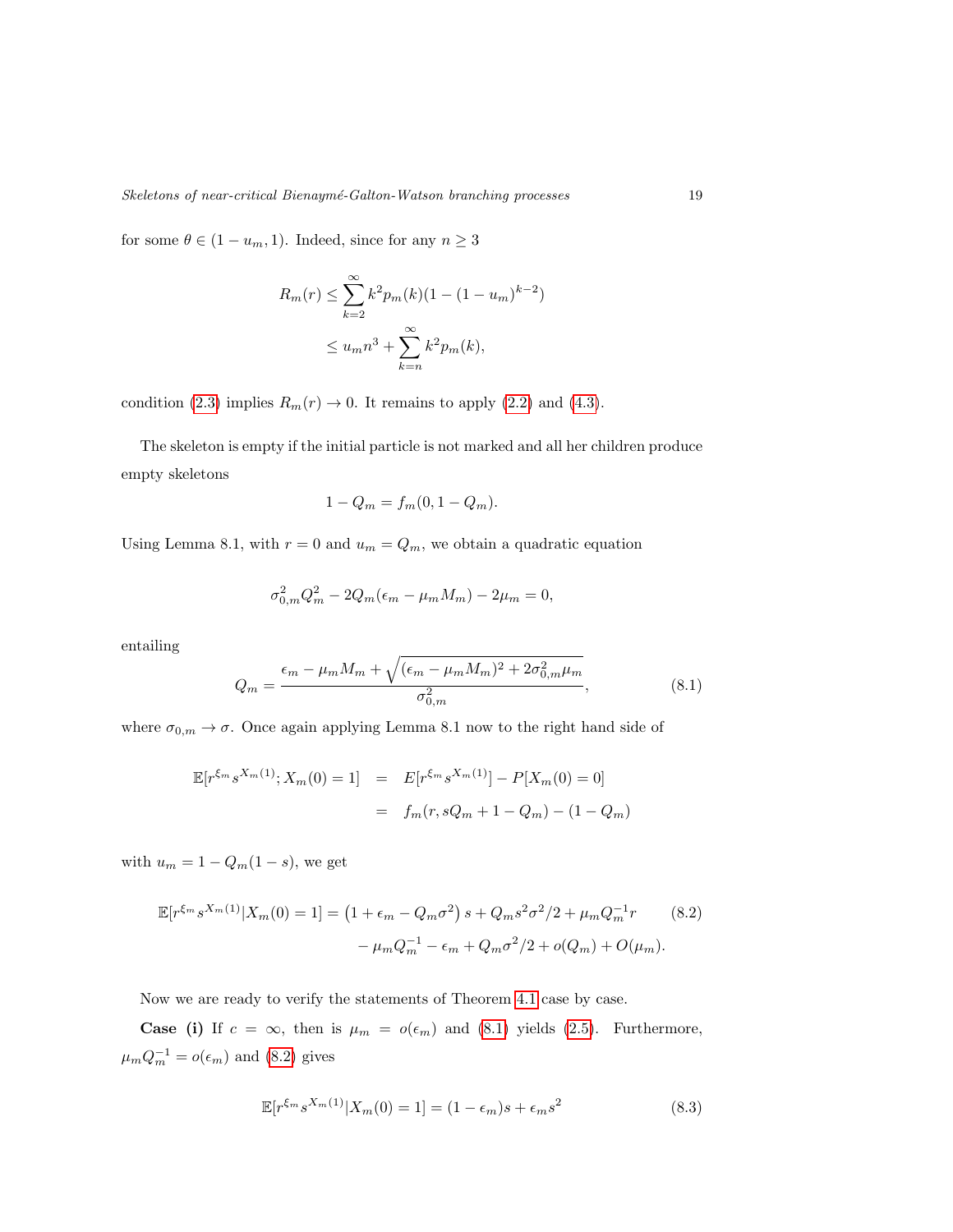for some  $\theta \in (1 - u_m, 1)$ . Indeed, since for any  $n \geq 3$ 

$$
R_m(r) \le \sum_{k=2}^{\infty} k^2 p_m(k)(1 - (1 - u_m)^{k-2})
$$
  

$$
\le u_m n^3 + \sum_{k=n}^{\infty} k^2 p_m(k),
$$

condition [\(2.3\)](#page-3-0) implies  $R_m(r) \to 0$ . It remains to apply [\(2.2\)](#page-3-2) and [\(4.3\)](#page-7-3).

The skeleton is empty if the initial particle is not marked and all her children produce empty skeletons

$$
1 - Q_m = f_m(0, 1 - Q_m).
$$

Using Lemma 8.1, with  $r = 0$  and  $u_m = Q_m$ , we obtain a quadratic equation

$$
\sigma_{0,m}^2 Q_m^2 - 2Q_m(\epsilon_m - \mu_m M_m) - 2\mu_m = 0,
$$

entailing

<span id="page-18-0"></span>
$$
Q_m = \frac{\epsilon_m - \mu_m M_m + \sqrt{(\epsilon_m - \mu_m M_m)^2 + 2\sigma_{0,m}^2 \mu_m}}{\sigma_{0,m}^2},
$$
\n(8.1)

where  $\sigma_{0,m} \to \sigma$ . Once again applying Lemma 8.1 now to the right hand side of

$$
\mathbb{E}[r^{\xi_m} s^{X_m(1)}; X_m(0) = 1] = E[r^{\xi_m} s^{X_m(1)}] - P[X_m(0) = 0]
$$

$$
= f_m(r, sQ_m + 1 - Q_m) - (1 - Q_m)
$$

with  $u_m = 1 - Q_m(1 - s)$ , we get

$$
\mathbb{E}[r^{\xi_m} s^{X_m(1)} | X_m(0) = 1] = \left(1 + \epsilon_m - Q_m \sigma^2\right) s + Q_m s^2 \sigma^2 / 2 + \mu_m Q_m^{-1} r \qquad (8.2)
$$

$$
- \mu_m Q_m^{-1} - \epsilon_m + Q_m \sigma^2 / 2 + o(Q_m) + O(\mu_m).
$$

Now we are ready to verify the statements of Theorem 4.[1](#page-8-1) case by case.

**Case (i)** If  $c = \infty$ , then is  $\mu_m = o(\epsilon_m)$  and [\(8.1\)](#page-18-0) yields [\(2.5\)](#page-3-5). Furthermore,  $\mu_m Q_m^{-1} = o(\epsilon_m)$  and [\(8.2\)](#page-18-1) gives

<span id="page-18-1"></span>
$$
\mathbb{E}[r^{\xi_m} s^{X_m(1)} | X_m(0) = 1] = (1 - \epsilon_m)s + \epsilon_m s^2 \tag{8.3}
$$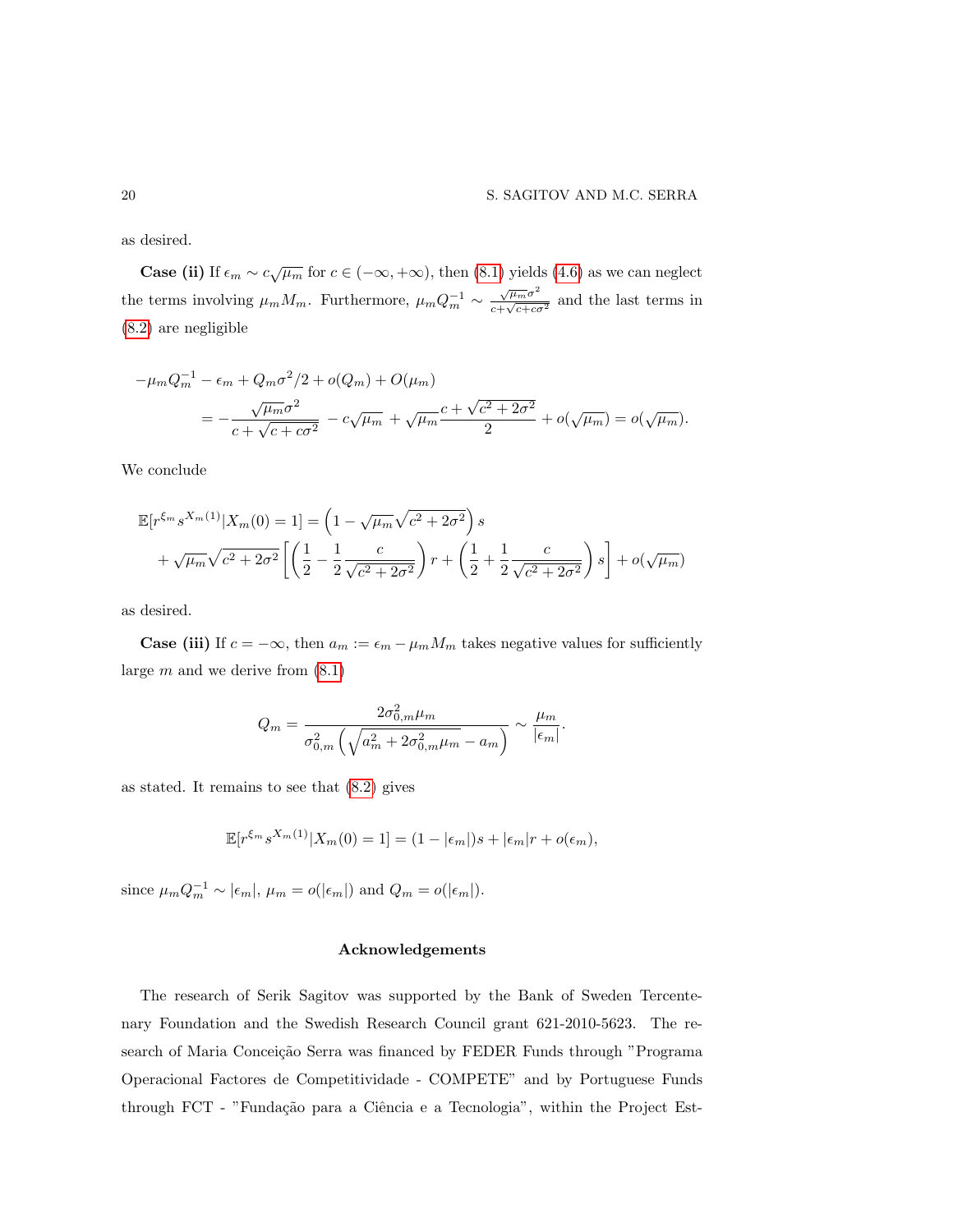as desired.

**Case (ii)** If  $\epsilon_m \sim c \sqrt{\mu_m}$  for  $c \in (-\infty, +\infty)$ , then [\(8.1\)](#page-18-0) yields [\(4.6\)](#page-8-0) as we can neglect the terms involving  $\mu_m M_m$ . Furthermore,  $\mu_m Q_m^{-1} \sim \frac{\sqrt{\mu_m \sigma^2}}{c + \sqrt{c + \alpha^2}}$  $\frac{\sqrt{\mu_m \sigma}}{c + \sqrt{c + c \sigma^2}}$  and the last terms in [\(8.2\)](#page-18-1) are negligible

$$
-\mu_m Q_m^{-1} - \epsilon_m + Q_m \sigma^2 / 2 + o(Q_m) + O(\mu_m)
$$
  
= 
$$
-\frac{\sqrt{\mu_m} \sigma^2}{c + \sqrt{c + c\sigma^2}} - c\sqrt{\mu_m} + \sqrt{\mu_m} \frac{c + \sqrt{c^2 + 2\sigma^2}}{2} + o(\sqrt{\mu_m}) = o(\sqrt{\mu_m}).
$$

We conclude

$$
\mathbb{E}[r^{\xi_m} s^{X_m(1)} | X_m(0) = 1] = \left(1 - \sqrt{\mu_m} \sqrt{c^2 + 2\sigma^2} \right) s + \sqrt{\mu_m} \sqrt{c^2 + 2\sigma^2} \left[ \left(\frac{1}{2} - \frac{1}{2} \frac{c}{\sqrt{c^2 + 2\sigma^2}} \right) r + \left(\frac{1}{2} + \frac{1}{2} \frac{c}{\sqrt{c^2 + 2\sigma^2}} \right) s \right] + o(\sqrt{\mu_m})
$$

as desired.

**Case (iii)** If  $c = -\infty$ , then  $a_m := \epsilon_m - \mu_m M_m$  takes negative values for sufficiently large  $m$  and we derive from  $(8.1)$ 

$$
Q_m = \frac{2\sigma_{0,m}^2 \mu_m}{\sigma_{0,m}^2 \left(\sqrt{a_m^2 + 2\sigma_{0,m}^2 \mu_m} - a_m\right)} \sim \frac{\mu_m}{|\epsilon_m|}.
$$

as stated. It remains to see that [\(8.2\)](#page-18-1) gives

$$
\mathbb{E}[r^{\xi_m} s^{X_m(1)} | X_m(0) = 1] = (1 - |\epsilon_m|)s + |\epsilon_m|r + o(\epsilon_m),
$$

since  $\mu_m Q_m^{-1} \sim |\epsilon_m|, \mu_m = o(|\epsilon_m|)$  and  $Q_m = o(|\epsilon_m|)$ .

# Acknowledgements

The research of Serik Sagitov was supported by the Bank of Sweden Tercentenary Foundation and the Swedish Research Council grant 621-2010-5623. The research of Maria Conceição Serra was financed by FEDER Funds through "Programa Operacional Factores de Competitividade - COMPETE" and by Portuguese Funds through FCT - "Fundação para a Ciência e a Tecnologia", within the Project Est